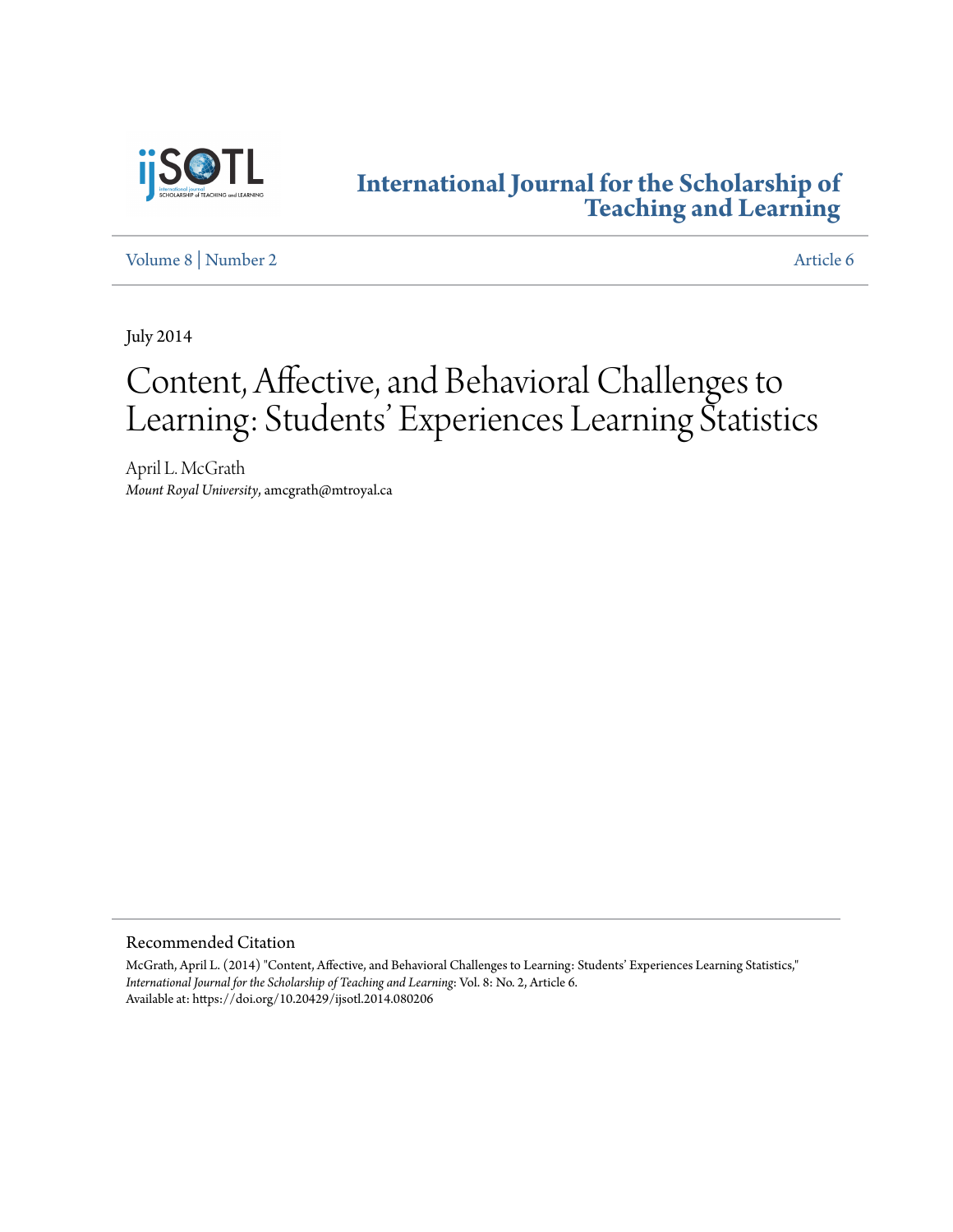

### **[International Journal for the Scholarship of](http://digitalcommons.georgiasouthern.edu/ij-sotl?utm_source=digitalcommons.georgiasouthern.edu%2Fij-sotl%2Fvol8%2Fiss2%2F6&utm_medium=PDF&utm_campaign=PDFCoverPages) [Teaching and Learning](http://digitalcommons.georgiasouthern.edu/ij-sotl?utm_source=digitalcommons.georgiasouthern.edu%2Fij-sotl%2Fvol8%2Fiss2%2F6&utm_medium=PDF&utm_campaign=PDFCoverPages)**

[Volume 8](http://digitalcommons.georgiasouthern.edu/ij-sotl/vol8?utm_source=digitalcommons.georgiasouthern.edu%2Fij-sotl%2Fvol8%2Fiss2%2F6&utm_medium=PDF&utm_campaign=PDFCoverPages) | [Number 2](http://digitalcommons.georgiasouthern.edu/ij-sotl/vol8/iss2?utm_source=digitalcommons.georgiasouthern.edu%2Fij-sotl%2Fvol8%2Fiss2%2F6&utm_medium=PDF&utm_campaign=PDFCoverPages) [Article 6](http://digitalcommons.georgiasouthern.edu/ij-sotl/vol8/iss2/6?utm_source=digitalcommons.georgiasouthern.edu%2Fij-sotl%2Fvol8%2Fiss2%2F6&utm_medium=PDF&utm_campaign=PDFCoverPages)

July 2014

# Content, Affective, and Behavioral Challenges to Learning: Students' Experiences Learning Statistics

April L. McGrath *Mount Royal University*, amcgrath@mtroyal.ca

Recommended Citation

McGrath, April L. (2014) "Content, Affective, and Behavioral Challenges to Learning: Students' Experiences Learning Statistics," *International Journal for the Scholarship of Teaching and Learning*: Vol. 8: No. 2, Article 6. Available at: https://doi.org/10.20429/ijsotl.2014.080206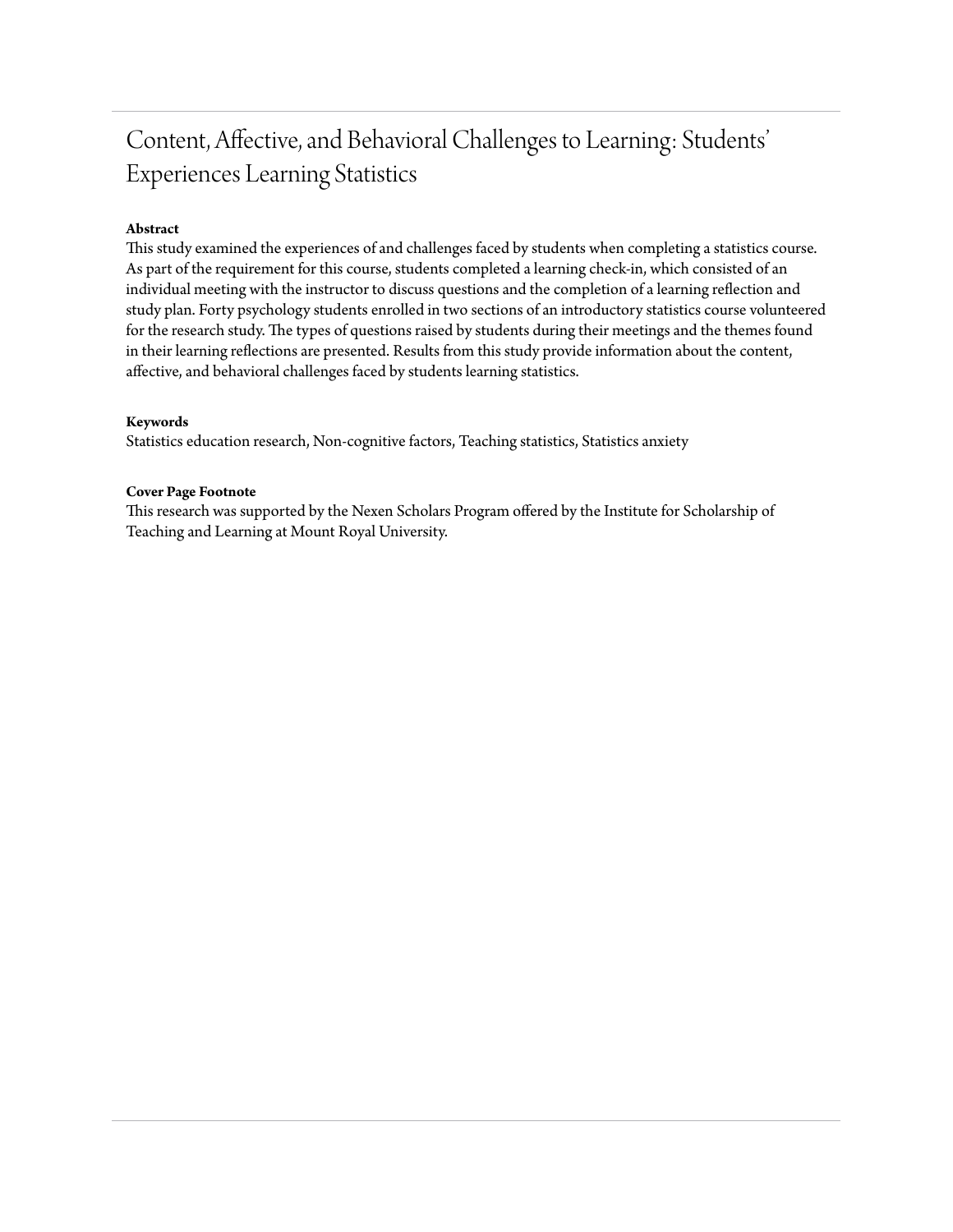## Content, Affective, and Behavioral Challenges to Learning: Students' Experiences Learning Statistics

#### **Abstract**

This study examined the experiences of and challenges faced by students when completing a statistics course. As part of the requirement for this course, students completed a learning check-in, which consisted of an individual meeting with the instructor to discuss questions and the completion of a learning reflection and study plan. Forty psychology students enrolled in two sections of an introductory statistics course volunteered for the research study. The types of questions raised by students during their meetings and the themes found in their learning reflections are presented. Results from this study provide information about the content, affective, and behavioral challenges faced by students learning statistics.

#### **Keywords**

Statistics education research, Non-cognitive factors, Teaching statistics, Statistics anxiety

#### **Cover Page Footnote**

This research was supported by the Nexen Scholars Program offered by the Institute for Scholarship of Teaching and Learning at Mount Royal University.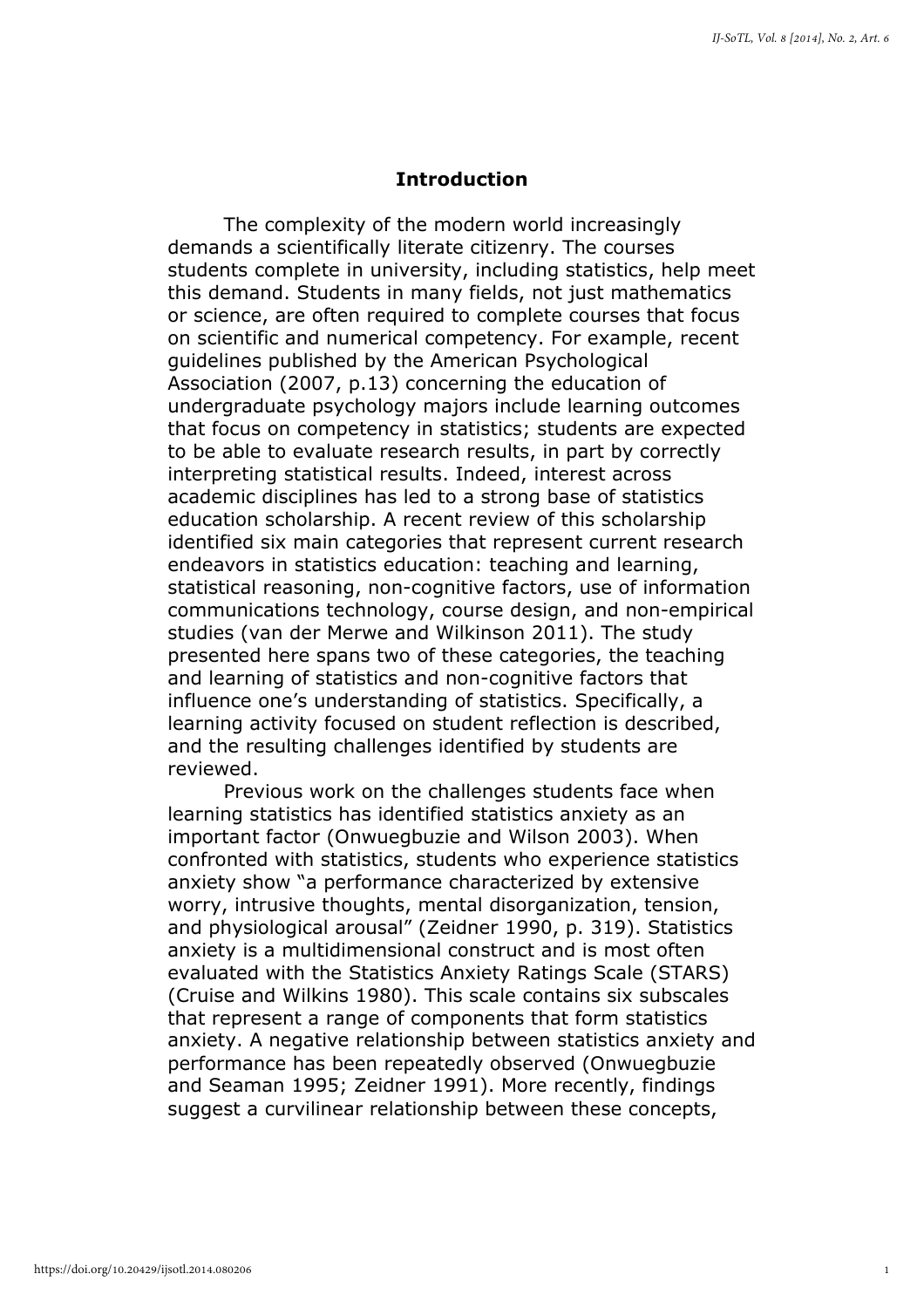#### Introduction

The complexity of the modern world increasingly demands a scientifically literate citizenry. The courses students complete in university, including statistics, help meet this demand. Students in many fields, not just mathematics or science, are often required to complete courses that focus on scientific and numerical competency. For example, recent guidelines published by the American Psychological Association (2007, p.13) concerning the education of undergraduate psychology majors include learning outcomes that focus on competency in statistics; students are expected to be able to evaluate research results, in part by correctly interpreting statistical results. Indeed, interest across academic disciplines has led to a strong base of statistics education scholarship. A recent review of this scholarship identified six main categories that represent current research endeavors in statistics education: teaching and learning, statistical reasoning, non-cognitive factors, use of information communications technology, course design, and non-empirical studies (van der Merwe and Wilkinson 2011). The study presented here spans two of these categories, the teaching and learning of statistics and non-cognitive factors that influence one's understanding of statistics. Specifically, a learning activity focused on student reflection is described, and the resulting challenges identified by students are reviewed.

Previous work on the challenges students face when learning statistics has identified statistics anxiety as an important factor (Onwuegbuzie and Wilson 2003). When confronted with statistics, students who experience statistics anxiety show "a performance characterized by extensive worry, intrusive thoughts, mental disorganization, tension, and physiological arousal" (Zeidner 1990, p. 319). Statistics anxiety is a multidimensional construct and is most often evaluated with the Statistics Anxiety Ratings Scale (STARS) (Cruise and Wilkins 1980). This scale contains six subscales that represent a range of components that form statistics anxiety. A negative relationship between statistics anxiety and performance has been repeatedly observed (Onwuegbuzie and Seaman 1995; Zeidner 1991). More recently, findings suggest a curvilinear relationship between these concepts,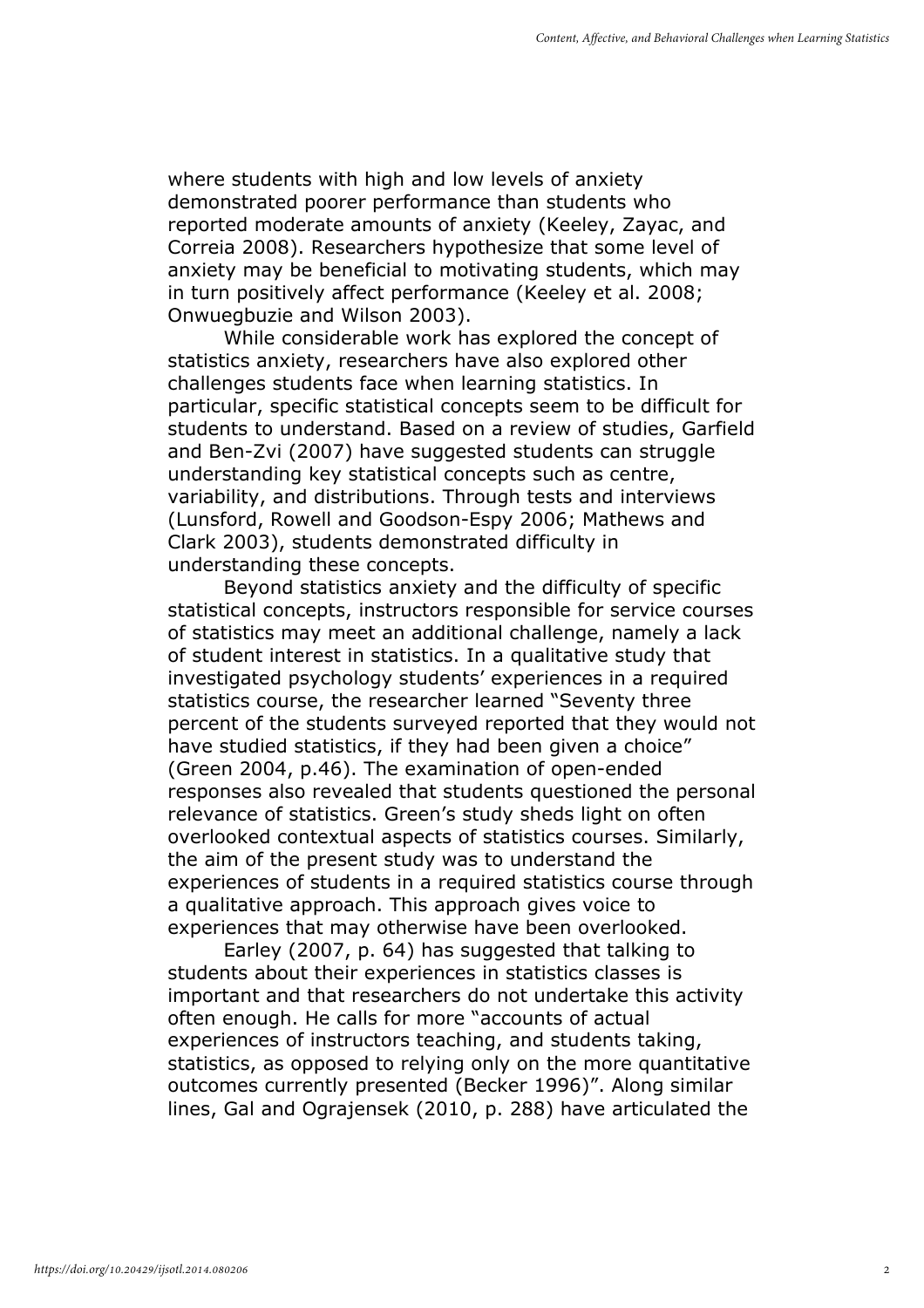where students with high and low levels of anxiety demonstrated poorer performance than students who reported moderate amounts of anxiety (Keeley, Zayac, and Correia 2008). Researchers hypothesize that some level of anxiety may be beneficial to motivating students, which may in turn positively affect performance (Keeley et al. 2008; Onwuegbuzie and Wilson 2003).

While considerable work has explored the concept of statistics anxiety, researchers have also explored other challenges students face when learning statistics. In particular, specific statistical concepts seem to be difficult for students to understand. Based on a review of studies, Garfield and Ben-Zvi (2007) have suggested students can struggle understanding key statistical concepts such as centre, variability, and distributions. Through tests and interviews (Lunsford, Rowell and Goodson-Espy 2006; Mathews and Clark 2003), students demonstrated difficulty in understanding these concepts.

Beyond statistics anxiety and the difficulty of specific statistical concepts, instructors responsible for service courses of statistics may meet an additional challenge, namely a lack of student interest in statistics. In a qualitative study that investigated psychology students' experiences in a required statistics course, the researcher learned "Seventy three percent of the students surveyed reported that they would not have studied statistics, if they had been given a choice" (Green 2004, p.46). The examination of open-ended responses also revealed that students questioned the personal relevance of statistics. Green's study sheds light on often overlooked contextual aspects of statistics courses. Similarly, the aim of the present study was to understand the experiences of students in a required statistics course through a qualitative approach. This approach gives voice to experiences that may otherwise have been overlooked.

Earley (2007, p. 64) has suggested that talking to students about their experiences in statistics classes is important and that researchers do not undertake this activity often enough. He calls for more "accounts of actual experiences of instructors teaching, and students taking, statistics, as opposed to relying only on the more quantitative outcomes currently presented (Becker 1996)". Along similar lines, Gal and Ograjensek (2010, p. 288) have articulated the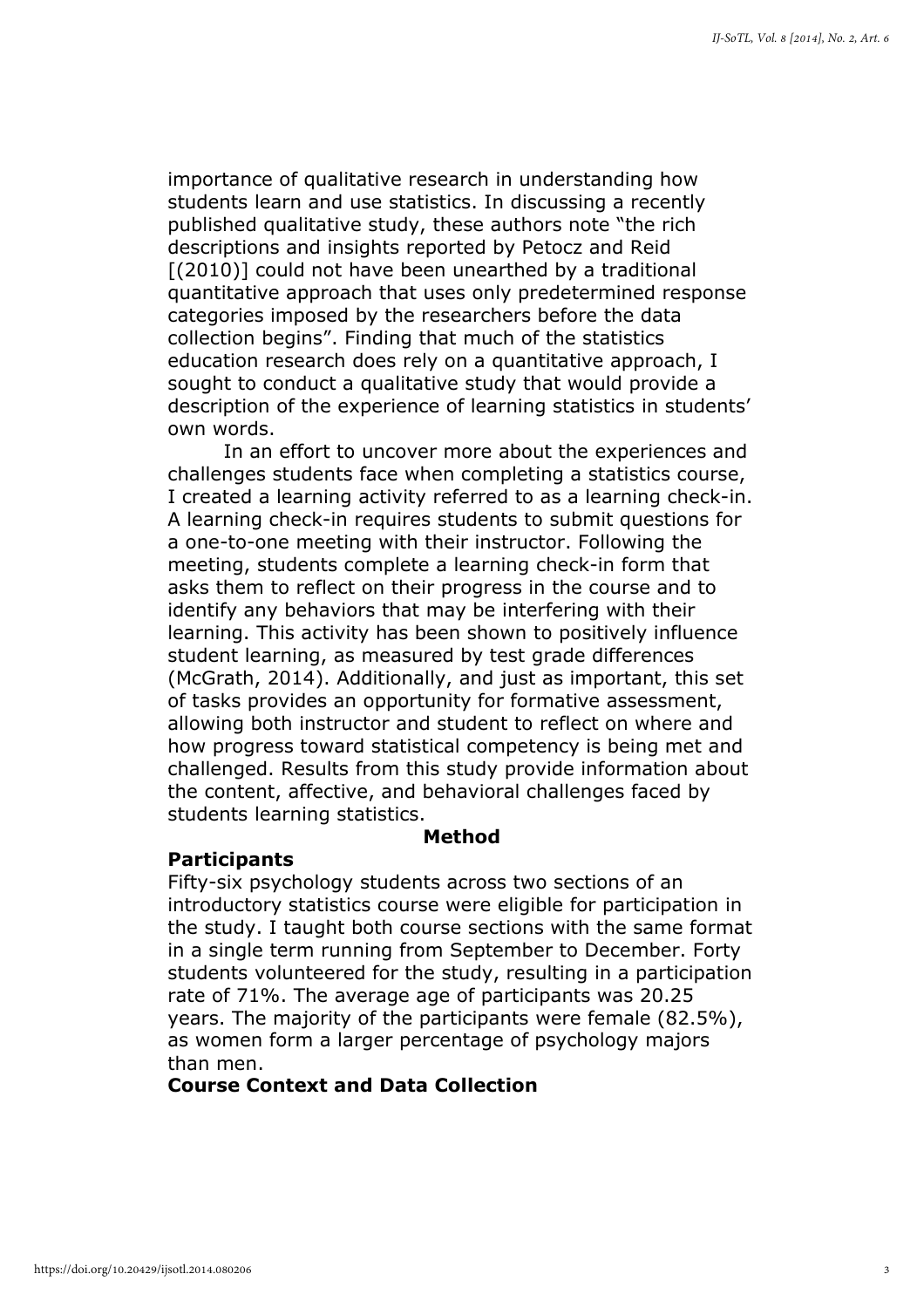importance of qualitative research in understanding how students learn and use statistics. In discussing a recently published qualitative study, these authors note "the rich descriptions and insights reported by Petocz and Reid [(2010)] could not have been unearthed by a traditional quantitative approach that uses only predetermined response categories imposed by the researchers before the data collection begins". Finding that much of the statistics education research does rely on a quantitative approach, I sought to conduct a qualitative study that would provide a description of the experience of learning statistics in students' own words.

In an effort to uncover more about the experiences and challenges students face when completing a statistics course, I created a learning activity referred to as a learning check-in. A learning check-in requires students to submit questions for a one-to-one meeting with their instructor. Following the meeting, students complete a learning check-in form that asks them to reflect on their progress in the course and to identify any behaviors that may be interfering with their learning. This activity has been shown to positively influence student learning, as measured by test grade differences (McGrath, 2014). Additionally, and just as important, this set of tasks provides an opportunity for formative assessment, allowing both instructor and student to reflect on where and how progress toward statistical competency is being met and challenged. Results from this study provide information about the content, affective, and behavioral challenges faced by students learning statistics.

#### Method

#### **Participants**

Fifty-six psychology students across two sections of an introductory statistics course were eligible for participation in the study. I taught both course sections with the same format in a single term running from September to December. Forty students volunteered for the study, resulting in a participation rate of 71%. The average age of participants was 20.25 years. The majority of the participants were female (82.5%), as women form a larger percentage of psychology majors than men.

#### Course Context and Data Collection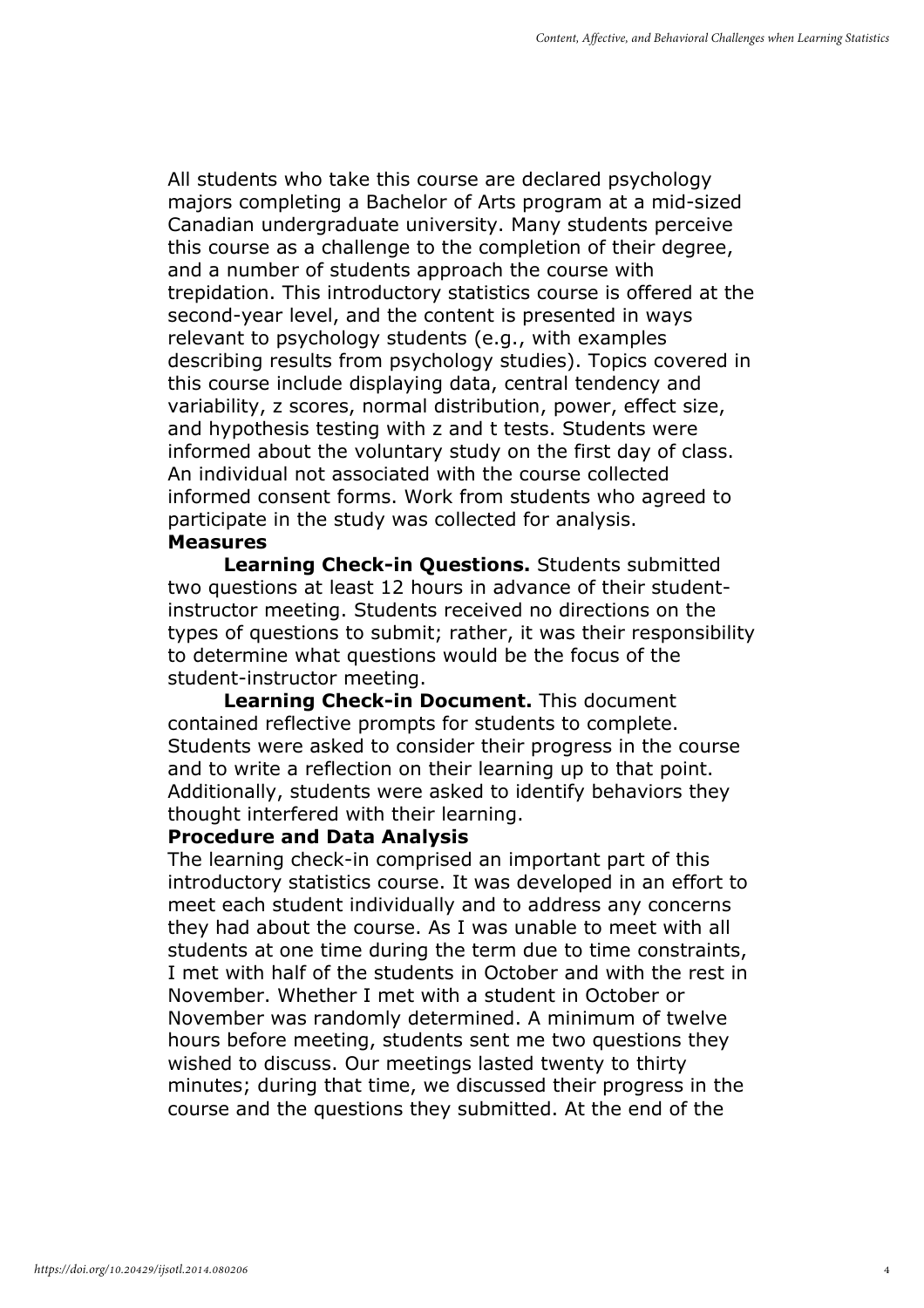All students who take this course are declared psychology majors completing a Bachelor of Arts program at a mid-sized Canadian undergraduate university. Many students perceive this course as a challenge to the completion of their degree, and a number of students approach the course with trepidation. This introductory statistics course is offered at the second-year level, and the content is presented in ways relevant to psychology students (e.g., with examples describing results from psychology studies). Topics covered in this course include displaying data, central tendency and variability, z scores, normal distribution, power, effect size, and hypothesis testing with z and t tests. Students were informed about the voluntary study on the first day of class. An individual not associated with the course collected informed consent forms. Work from students who agreed to participate in the study was collected for analysis. Measures

Learning Check-in Questions. Students submitted two questions at least 12 hours in advance of their studentinstructor meeting. Students received no directions on the types of questions to submit; rather, it was their responsibility to determine what questions would be the focus of the student-instructor meeting.

Learning Check-in Document. This document contained reflective prompts for students to complete. Students were asked to consider their progress in the course and to write a reflection on their learning up to that point. Additionally, students were asked to identify behaviors they thought interfered with their learning.

#### Procedure and Data Analysis

The learning check-in comprised an important part of this introductory statistics course. It was developed in an effort to meet each student individually and to address any concerns they had about the course. As I was unable to meet with all students at one time during the term due to time constraints, I met with half of the students in October and with the rest in November. Whether I met with a student in October or November was randomly determined. A minimum of twelve hours before meeting, students sent me two questions they wished to discuss. Our meetings lasted twenty to thirty minutes; during that time, we discussed their progress in the course and the questions they submitted. At the end of the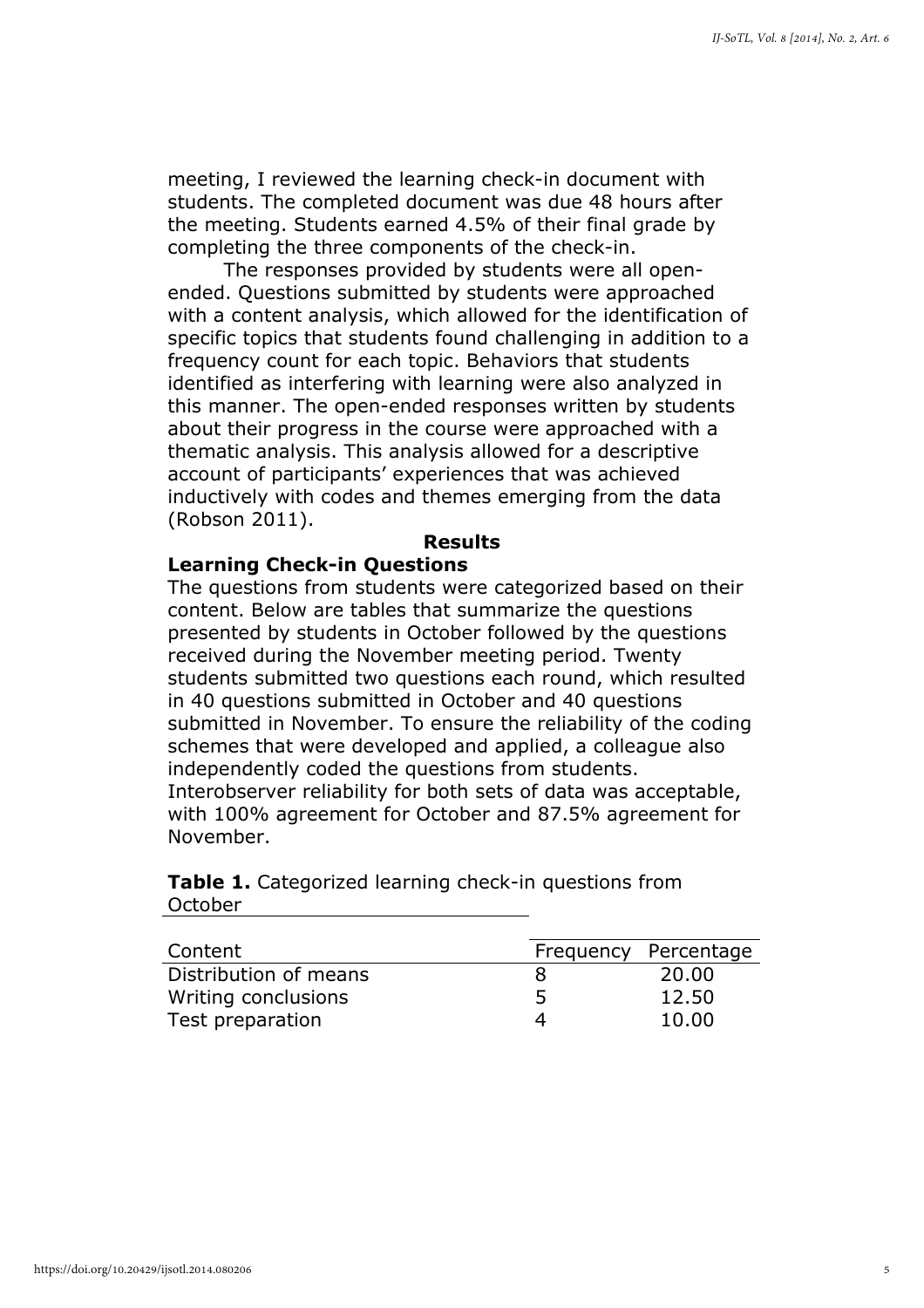meeting, I reviewed the learning check-in document with students. The completed document was due 48 hours after the meeting. Students earned 4.5% of their final grade by completing the three components of the check-in.

The responses provided by students were all openended. Questions submitted by students were approached with a content analysis, which allowed for the identification of specific topics that students found challenging in addition to a frequency count for each topic. Behaviors that students identified as interfering with learning were also analyzed in this manner. The open-ended responses written by students about their progress in the course were approached with a thematic analysis. This analysis allowed for a descriptive account of participants' experiences that was achieved inductively with codes and themes emerging from the data (Robson 2011).

#### Results

#### Learning Check-in Questions

The questions from students were categorized based on their content. Below are tables that summarize the questions presented by students in October followed by the questions received during the November meeting period. Twenty students submitted two questions each round, which resulted in 40 questions submitted in October and 40 questions submitted in November. To ensure the reliability of the coding schemes that were developed and applied, a colleague also independently coded the questions from students. Interobserver reliability for both sets of data was acceptable, with 100% agreement for October and 87.5% agreement for November.

|         | <b>Table 1.</b> Categorized learning check-in questions from |  |  |
|---------|--------------------------------------------------------------|--|--|
| October |                                                              |  |  |

| Content               | Frequency Percentage |
|-----------------------|----------------------|
| Distribution of means | 20,00                |
| Writing conclusions   | 12.50                |
| Test preparation      | 10.00                |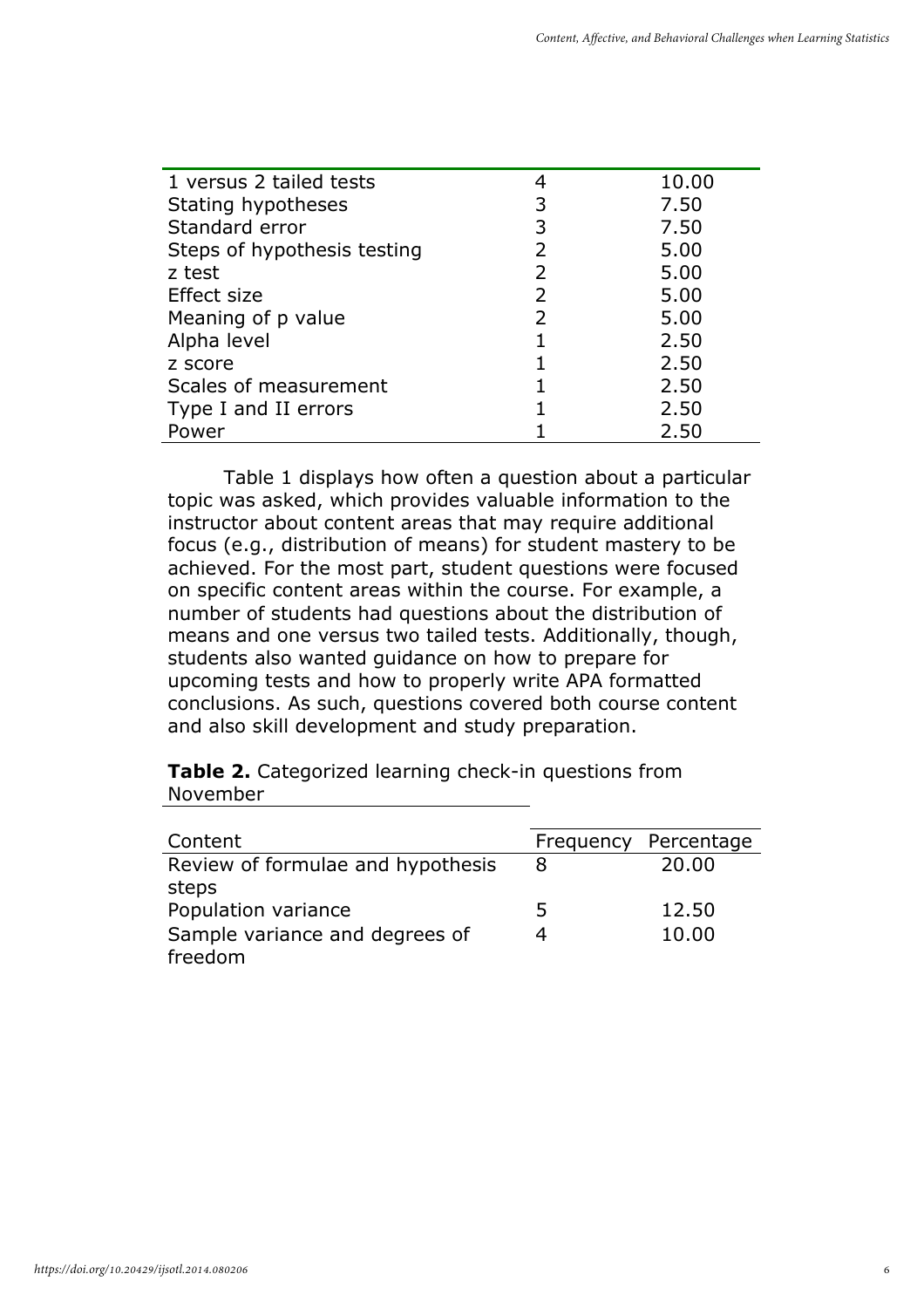| 1 versus 2 tailed tests     |   | 10.00 |
|-----------------------------|---|-------|
| Stating hypotheses          | 3 | 7.50  |
| Standard error              | 3 | 7.50  |
| Steps of hypothesis testing | 2 | 5.00  |
| z test                      | 2 | 5.00  |
| Effect size                 | 2 | 5.00  |
| Meaning of p value          | 2 | 5.00  |
| Alpha level                 |   | 2.50  |
| z score                     |   | 2.50  |
| Scales of measurement       |   | 2.50  |
| Type I and II errors        |   | 2.50  |
| Power                       |   | 2.50  |

Table 1 displays how often a question about a particular topic was asked, which provides valuable information to the instructor about content areas that may require additional focus (e.g., distribution of means) for student mastery to be achieved. For the most part, student questions were focused on specific content areas within the course. For example, a number of students had questions about the distribution of means and one versus two tailed tests. Additionally, though, students also wanted guidance on how to prepare for upcoming tests and how to properly write APA formatted conclusions. As such, questions covered both course content and also skill development and study preparation.

Table 2. Categorized learning check-in questions from November

| Content                           | Frequency | Percentage |
|-----------------------------------|-----------|------------|
| Review of formulae and hypothesis | 8         | 20,00      |
| steps                             |           |            |
| Population variance               | 5         | 12.50      |
| Sample variance and degrees of    |           | 10.00      |
| freedom                           |           |            |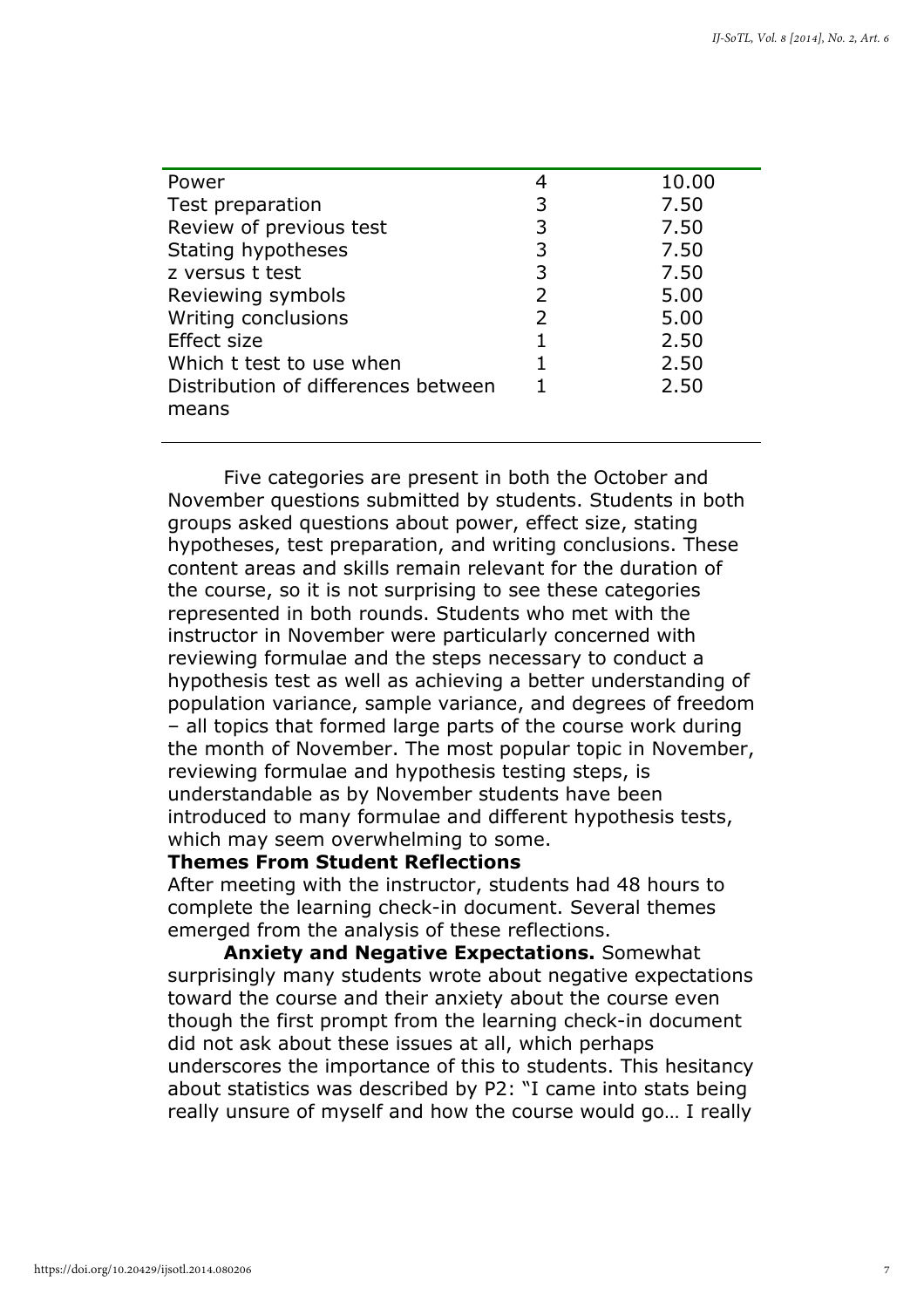| Power                               |   | 10.00 |
|-------------------------------------|---|-------|
| Test preparation                    | 3 | 7.50  |
| Review of previous test             | 3 | 7.50  |
| Stating hypotheses                  | 3 | 7.50  |
| z versus t test                     | 3 | 7.50  |
| Reviewing symbols                   | 2 | 5.00  |
| Writing conclusions                 | 2 | 5.00  |
| Effect size                         |   | 2.50  |
| Which t test to use when            |   | 2.50  |
| Distribution of differences between |   | 2.50  |
| means                               |   |       |
|                                     |   |       |

Five categories are present in both the October and November questions submitted by students. Students in both groups asked questions about power, effect size, stating hypotheses, test preparation, and writing conclusions. These content areas and skills remain relevant for the duration of the course, so it is not surprising to see these categories represented in both rounds. Students who met with the instructor in November were particularly concerned with reviewing formulae and the steps necessary to conduct a hypothesis test as well as achieving a better understanding of population variance, sample variance, and degrees of freedom – all topics that formed large parts of the course work during the month of November. The most popular topic in November, reviewing formulae and hypothesis testing steps, is understandable as by November students have been introduced to many formulae and different hypothesis tests, which may seem overwhelming to some.

#### Themes From Student Reflections

After meeting with the instructor, students had 48 hours to complete the learning check-in document. Several themes emerged from the analysis of these reflections.

Anxiety and Negative Expectations. Somewhat surprisingly many students wrote about negative expectations toward the course and their anxiety about the course even though the first prompt from the learning check-in document did not ask about these issues at all, which perhaps underscores the importance of this to students. This hesitancy about statistics was described by P2: "I came into stats being really unsure of myself and how the course would go… I really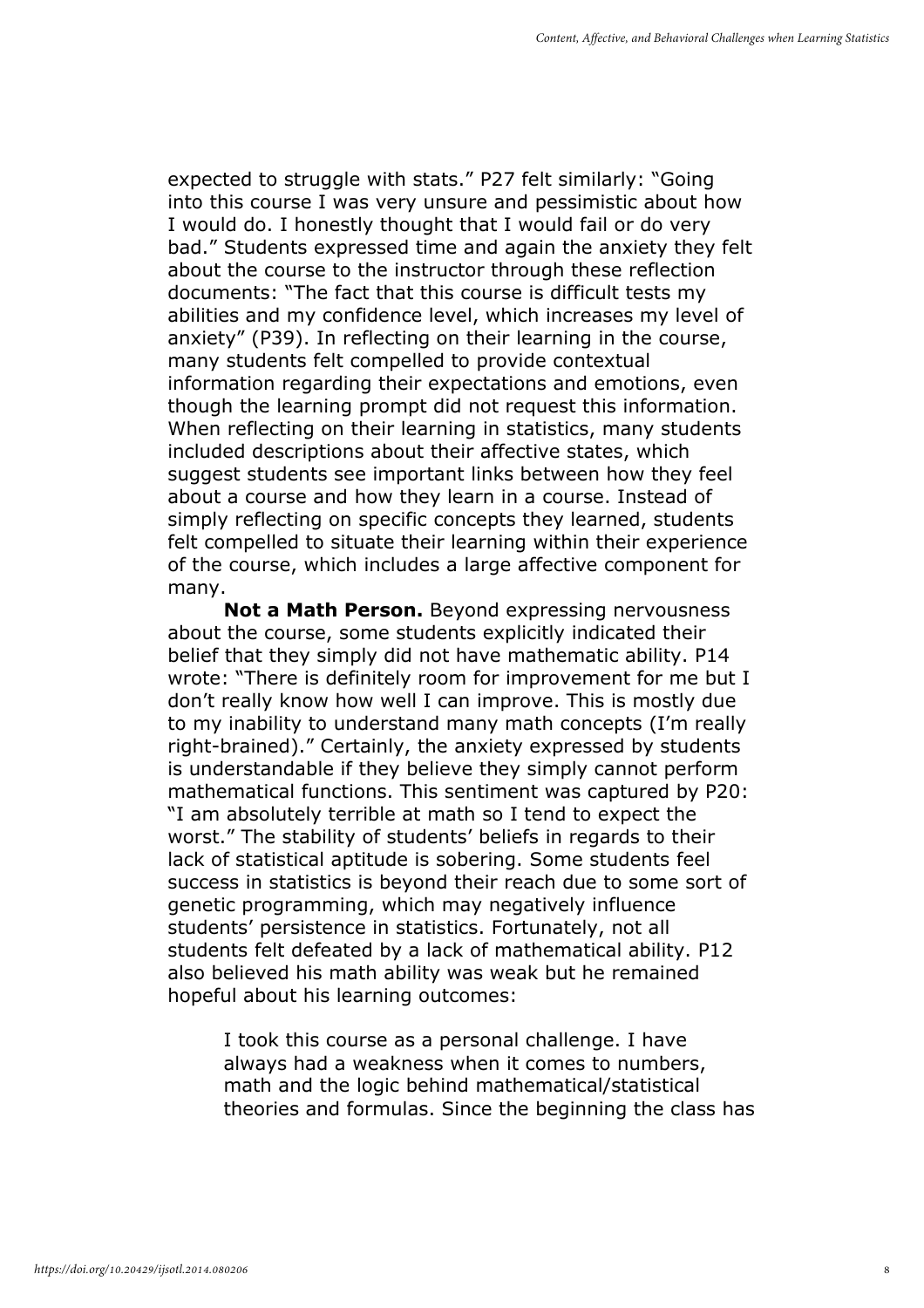expected to struggle with stats." P27 felt similarly: "Going into this course I was very unsure and pessimistic about how I would do. I honestly thought that I would fail or do very bad." Students expressed time and again the anxiety they felt about the course to the instructor through these reflection documents: "The fact that this course is difficult tests my abilities and my confidence level, which increases my level of anxiety" (P39). In reflecting on their learning in the course, many students felt compelled to provide contextual information regarding their expectations and emotions, even though the learning prompt did not request this information. When reflecting on their learning in statistics, many students included descriptions about their affective states, which suggest students see important links between how they feel about a course and how they learn in a course. Instead of simply reflecting on specific concepts they learned, students felt compelled to situate their learning within their experience of the course, which includes a large affective component for many.

Not a Math Person. Beyond expressing nervousness about the course, some students explicitly indicated their belief that they simply did not have mathematic ability. P14 wrote: "There is definitely room for improvement for me but I don't really know how well I can improve. This is mostly due to my inability to understand many math concepts (I'm really right-brained)." Certainly, the anxiety expressed by students is understandable if they believe they simply cannot perform mathematical functions. This sentiment was captured by P20: "I am absolutely terrible at math so I tend to expect the worst." The stability of students' beliefs in regards to their lack of statistical aptitude is sobering. Some students feel success in statistics is beyond their reach due to some sort of genetic programming, which may negatively influence students' persistence in statistics. Fortunately, not all students felt defeated by a lack of mathematical ability. P12 also believed his math ability was weak but he remained hopeful about his learning outcomes:

I took this course as a personal challenge. I have always had a weakness when it comes to numbers, math and the logic behind mathematical/statistical theories and formulas. Since the beginning the class has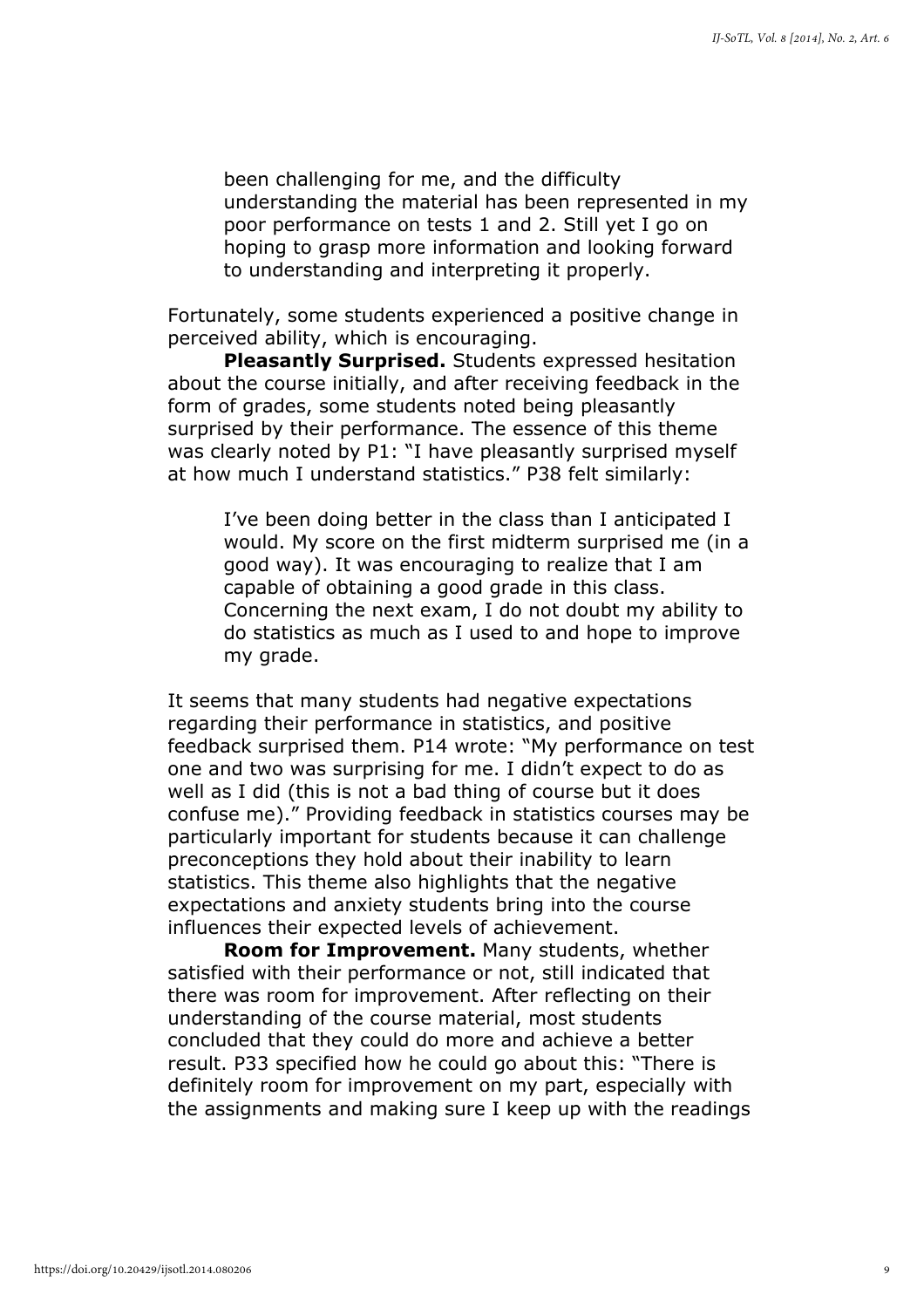been challenging for me, and the difficulty understanding the material has been represented in my poor performance on tests 1 and 2. Still yet I go on hoping to grasp more information and looking forward to understanding and interpreting it properly.

Fortunately, some students experienced a positive change in perceived ability, which is encouraging.

Pleasantly Surprised. Students expressed hesitation about the course initially, and after receiving feedback in the form of grades, some students noted being pleasantly surprised by their performance. The essence of this theme was clearly noted by P1: "I have pleasantly surprised myself at how much I understand statistics." P38 felt similarly:

I've been doing better in the class than I anticipated I would. My score on the first midterm surprised me (in a good way). It was encouraging to realize that I am capable of obtaining a good grade in this class. Concerning the next exam, I do not doubt my ability to do statistics as much as I used to and hope to improve my grade.

It seems that many students had negative expectations regarding their performance in statistics, and positive feedback surprised them. P14 wrote: "My performance on test one and two was surprising for me. I didn't expect to do as well as I did (this is not a bad thing of course but it does confuse me)." Providing feedback in statistics courses may be particularly important for students because it can challenge preconceptions they hold about their inability to learn statistics. This theme also highlights that the negative expectations and anxiety students bring into the course influences their expected levels of achievement.

Room for Improvement. Many students, whether satisfied with their performance or not, still indicated that there was room for improvement. After reflecting on their understanding of the course material, most students concluded that they could do more and achieve a better result. P33 specified how he could go about this: "There is definitely room for improvement on my part, especially with the assignments and making sure I keep up with the readings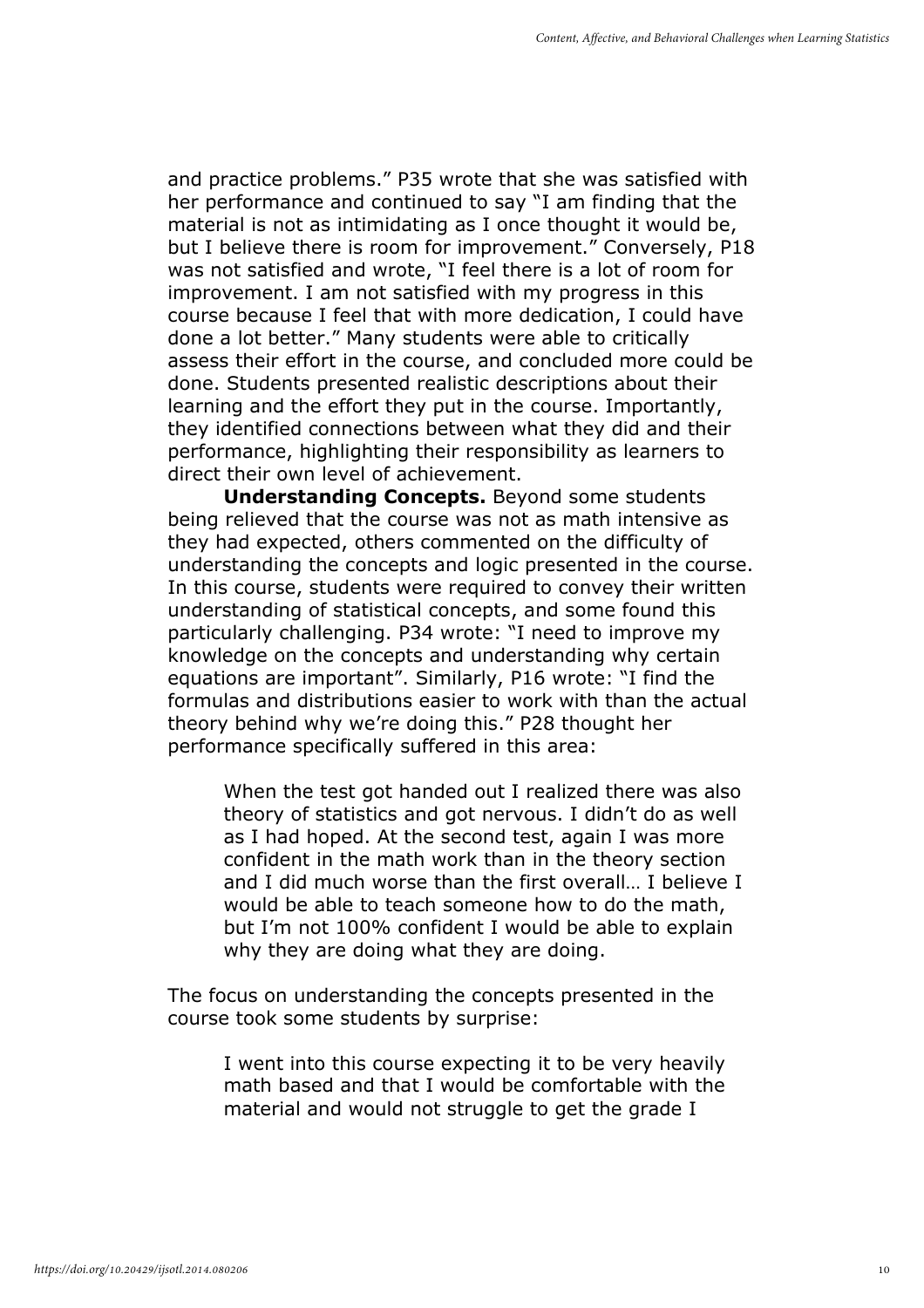and practice problems." P35 wrote that she was satisfied with her performance and continued to say "I am finding that the material is not as intimidating as I once thought it would be, but I believe there is room for improvement." Conversely, P18 was not satisfied and wrote, "I feel there is a lot of room for improvement. I am not satisfied with my progress in this course because I feel that with more dedication, I could have done a lot better." Many students were able to critically assess their effort in the course, and concluded more could be done. Students presented realistic descriptions about their learning and the effort they put in the course. Importantly, they identified connections between what they did and their performance, highlighting their responsibility as learners to direct their own level of achievement.

Understanding Concepts. Beyond some students being relieved that the course was not as math intensive as they had expected, others commented on the difficulty of understanding the concepts and logic presented in the course. In this course, students were required to convey their written understanding of statistical concepts, and some found this particularly challenging. P34 wrote: "I need to improve my knowledge on the concepts and understanding why certain equations are important". Similarly, P16 wrote: "I find the formulas and distributions easier to work with than the actual theory behind why we're doing this." P28 thought her performance specifically suffered in this area:

When the test got handed out I realized there was also theory of statistics and got nervous. I didn't do as well as I had hoped. At the second test, again I was more confident in the math work than in the theory section and I did much worse than the first overall… I believe I would be able to teach someone how to do the math, but I'm not 100% confident I would be able to explain why they are doing what they are doing.

The focus on understanding the concepts presented in the course took some students by surprise:

> I went into this course expecting it to be very heavily math based and that I would be comfortable with the material and would not struggle to get the grade I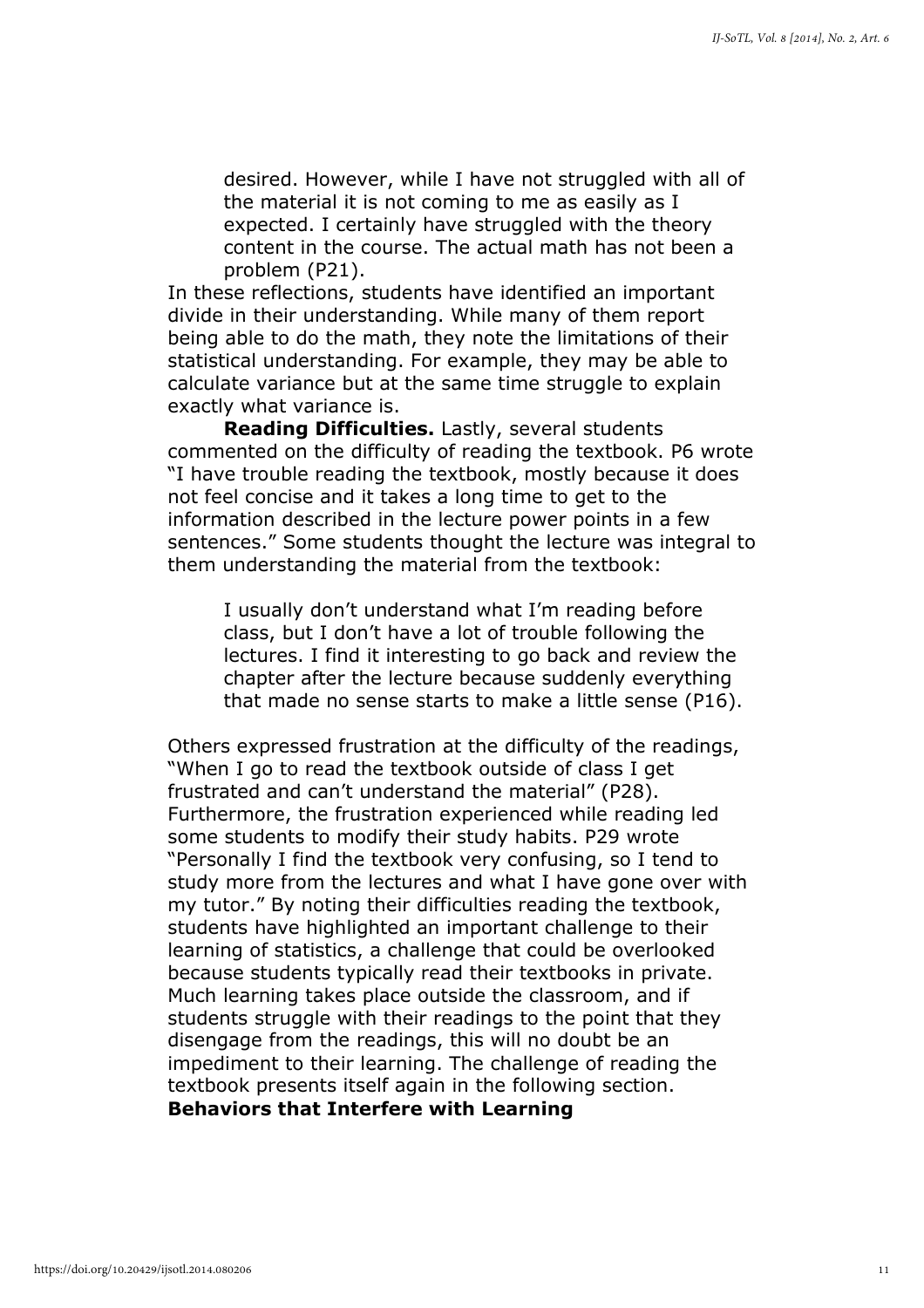desired. However, while I have not struggled with all of the material it is not coming to me as easily as I expected. I certainly have struggled with the theory content in the course. The actual math has not been a problem (P21).

In these reflections, students have identified an important divide in their understanding. While many of them report being able to do the math, they note the limitations of their statistical understanding. For example, they may be able to calculate variance but at the same time struggle to explain exactly what variance is.

Reading Difficulties. Lastly, several students commented on the difficulty of reading the textbook. P6 wrote "I have trouble reading the textbook, mostly because it does not feel concise and it takes a long time to get to the information described in the lecture power points in a few sentences." Some students thought the lecture was integral to them understanding the material from the textbook:

I usually don't understand what I'm reading before class, but I don't have a lot of trouble following the lectures. I find it interesting to go back and review the chapter after the lecture because suddenly everything that made no sense starts to make a little sense (P16).

Others expressed frustration at the difficulty of the readings, "When I go to read the textbook outside of class I get frustrated and can't understand the material" (P28). Furthermore, the frustration experienced while reading led some students to modify their study habits. P29 wrote "Personally I find the textbook very confusing, so I tend to study more from the lectures and what I have gone over with my tutor." By noting their difficulties reading the textbook, students have highlighted an important challenge to their learning of statistics, a challenge that could be overlooked because students typically read their textbooks in private. Much learning takes place outside the classroom, and if students struggle with their readings to the point that they disengage from the readings, this will no doubt be an impediment to their learning. The challenge of reading the textbook presents itself again in the following section.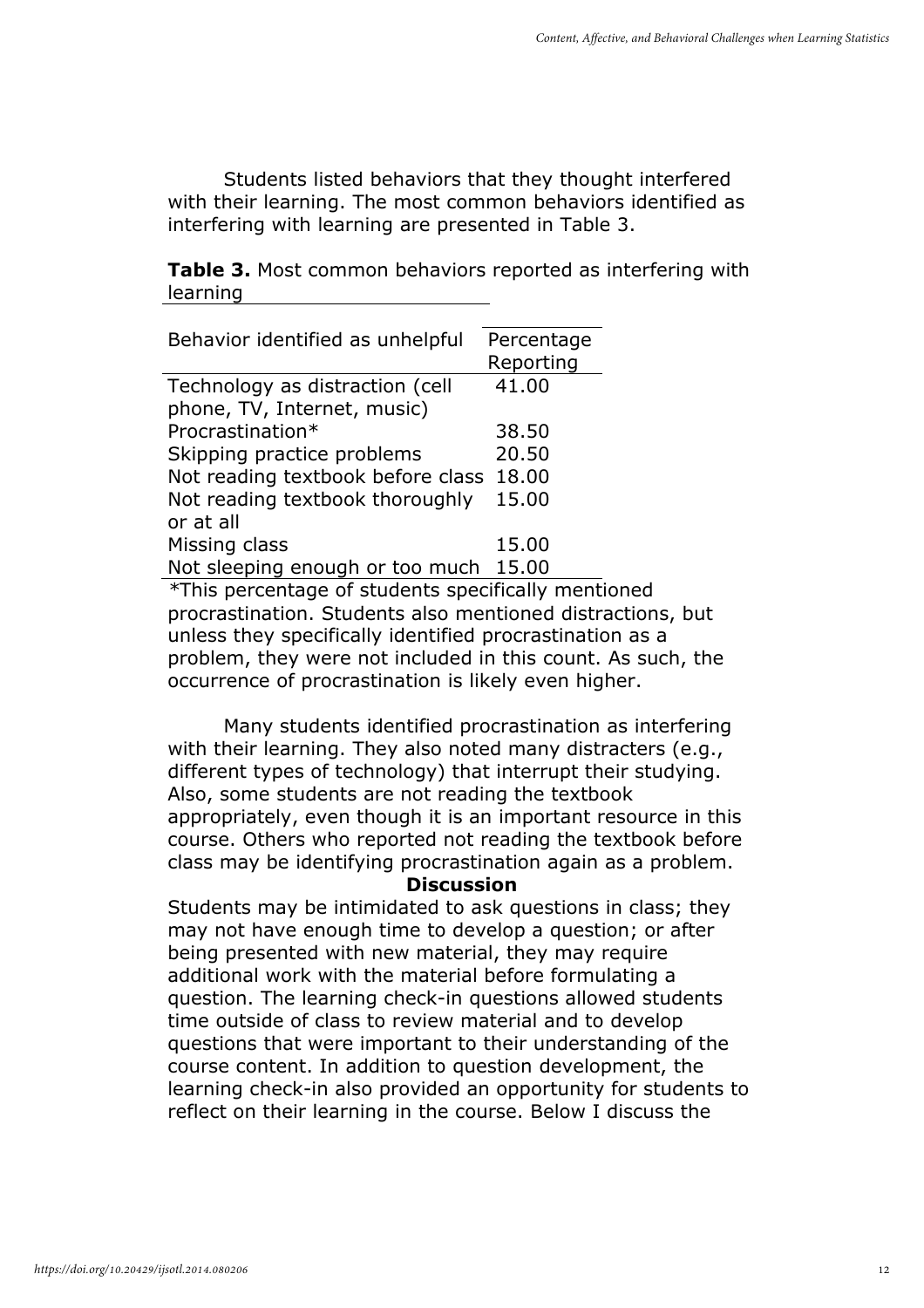Students listed behaviors that they thought interfered with their learning. The most common behaviors identified as interfering with learning are presented in Table 3.

**Table 3.** Most common behaviors reported as interfering with learning

| Behavior identified as unhelpful        | Percentage |
|-----------------------------------------|------------|
|                                         | Reporting  |
| Technology as distraction (cell         | 41.00      |
| phone, TV, Internet, music)             |            |
| Procrastination*                        | 38.50      |
| Skipping practice problems              | 20.50      |
| Not reading textbook before class 18.00 |            |
| Not reading textbook thoroughly         | 15.00      |
| or at all                               |            |
| Missing class                           | 15.00      |
| Not sleeping enough or too much         | 15.00      |
| _. _                                    |            |

\*This percentage of students specifically mentioned procrastination. Students also mentioned distractions, but unless they specifically identified procrastination as a problem, they were not included in this count. As such, the occurrence of procrastination is likely even higher.

Many students identified procrastination as interfering with their learning. They also noted many distracters (e.g., different types of technology) that interrupt their studying. Also, some students are not reading the textbook appropriately, even though it is an important resource in this course. Others who reported not reading the textbook before class may be identifying procrastination again as a problem.

#### **Discussion**

Students may be intimidated to ask questions in class; they may not have enough time to develop a question; or after being presented with new material, they may require additional work with the material before formulating a question. The learning check-in questions allowed students time outside of class to review material and to develop questions that were important to their understanding of the course content. In addition to question development, the learning check-in also provided an opportunity for students to reflect on their learning in the course. Below I discuss the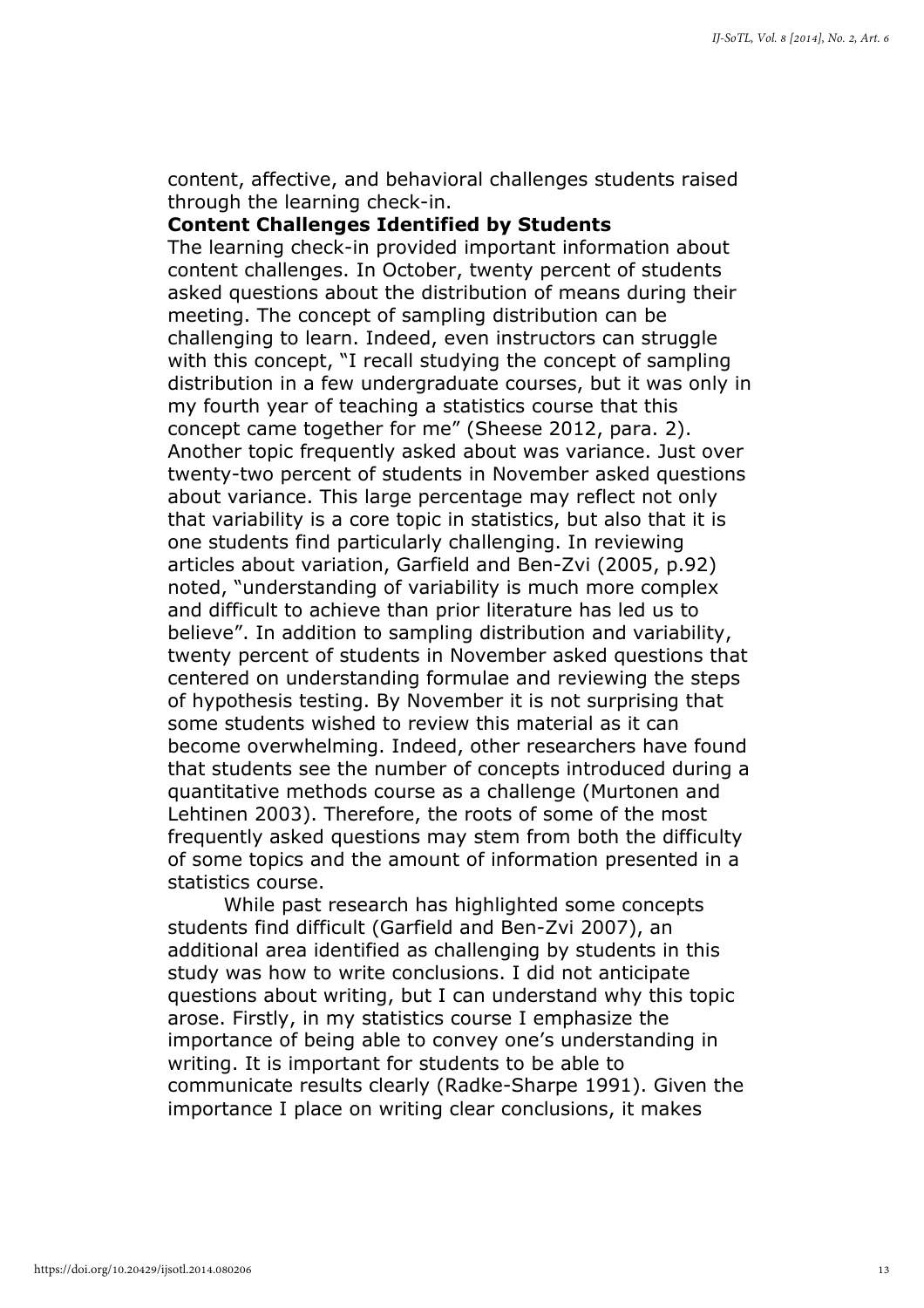content, affective, and behavioral challenges students raised through the learning check-in.

#### Content Challenges Identified by Students

The learning check-in provided important information about content challenges. In October, twenty percent of students asked questions about the distribution of means during their meeting. The concept of sampling distribution can be challenging to learn. Indeed, even instructors can struggle with this concept, "I recall studying the concept of sampling distribution in a few undergraduate courses, but it was only in my fourth year of teaching a statistics course that this concept came together for me" (Sheese 2012, para. 2). Another topic frequently asked about was variance. Just over twenty-two percent of students in November asked questions about variance. This large percentage may reflect not only that variability is a core topic in statistics, but also that it is one students find particularly challenging. In reviewing articles about variation, Garfield and Ben-Zvi (2005, p.92) noted, "understanding of variability is much more complex and difficult to achieve than prior literature has led us to believe". In addition to sampling distribution and variability, twenty percent of students in November asked questions that centered on understanding formulae and reviewing the steps of hypothesis testing. By November it is not surprising that some students wished to review this material as it can become overwhelming. Indeed, other researchers have found that students see the number of concepts introduced during a quantitative methods course as a challenge (Murtonen and Lehtinen 2003). Therefore, the roots of some of the most frequently asked questions may stem from both the difficulty of some topics and the amount of information presented in a statistics course.

While past research has highlighted some concepts students find difficult (Garfield and Ben-Zvi 2007), an additional area identified as challenging by students in this study was how to write conclusions. I did not anticipate questions about writing, but I can understand why this topic arose. Firstly, in my statistics course I emphasize the importance of being able to convey one's understanding in writing. It is important for students to be able to communicate results clearly (Radke-Sharpe 1991). Given the importance I place on writing clear conclusions, it makes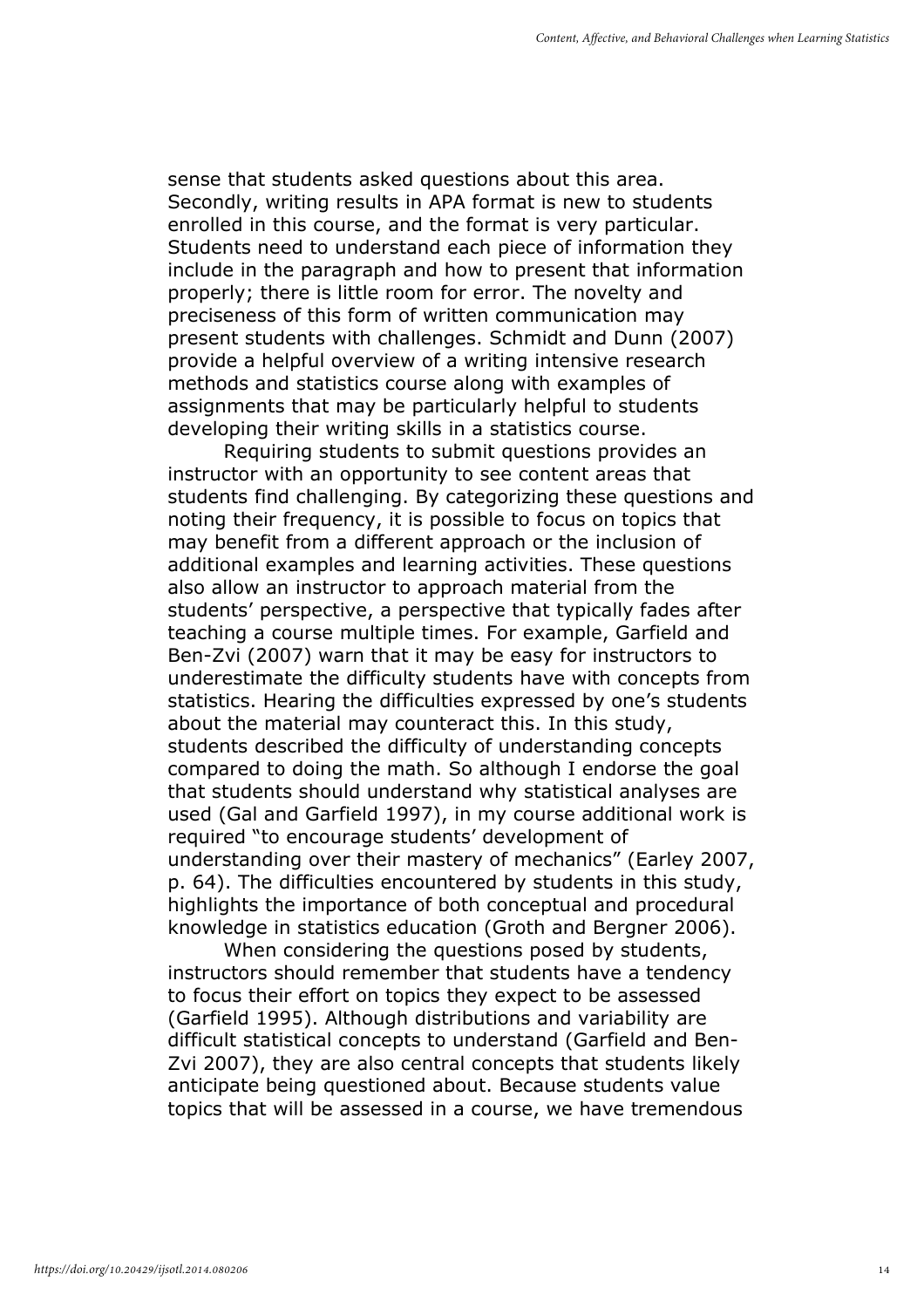sense that students asked questions about this area. Secondly, writing results in APA format is new to students enrolled in this course, and the format is very particular. Students need to understand each piece of information they include in the paragraph and how to present that information properly; there is little room for error. The novelty and preciseness of this form of written communication may present students with challenges. Schmidt and Dunn (2007) provide a helpful overview of a writing intensive research methods and statistics course along with examples of assignments that may be particularly helpful to students developing their writing skills in a statistics course.

Requiring students to submit questions provides an instructor with an opportunity to see content areas that students find challenging. By categorizing these questions and noting their frequency, it is possible to focus on topics that may benefit from a different approach or the inclusion of additional examples and learning activities. These questions also allow an instructor to approach material from the students' perspective, a perspective that typically fades after teaching a course multiple times. For example, Garfield and Ben-Zvi (2007) warn that it may be easy for instructors to underestimate the difficulty students have with concepts from statistics. Hearing the difficulties expressed by one's students about the material may counteract this. In this study, students described the difficulty of understanding concepts compared to doing the math. So although I endorse the goal that students should understand why statistical analyses are used (Gal and Garfield 1997), in my course additional work is required "to encourage students' development of understanding over their mastery of mechanics" (Earley 2007, p. 64). The difficulties encountered by students in this study, highlights the importance of both conceptual and procedural knowledge in statistics education (Groth and Bergner 2006).

When considering the questions posed by students, instructors should remember that students have a tendency to focus their effort on topics they expect to be assessed (Garfield 1995). Although distributions and variability are difficult statistical concepts to understand (Garfield and Ben-Zvi 2007), they are also central concepts that students likely anticipate being questioned about. Because students value topics that will be assessed in a course, we have tremendous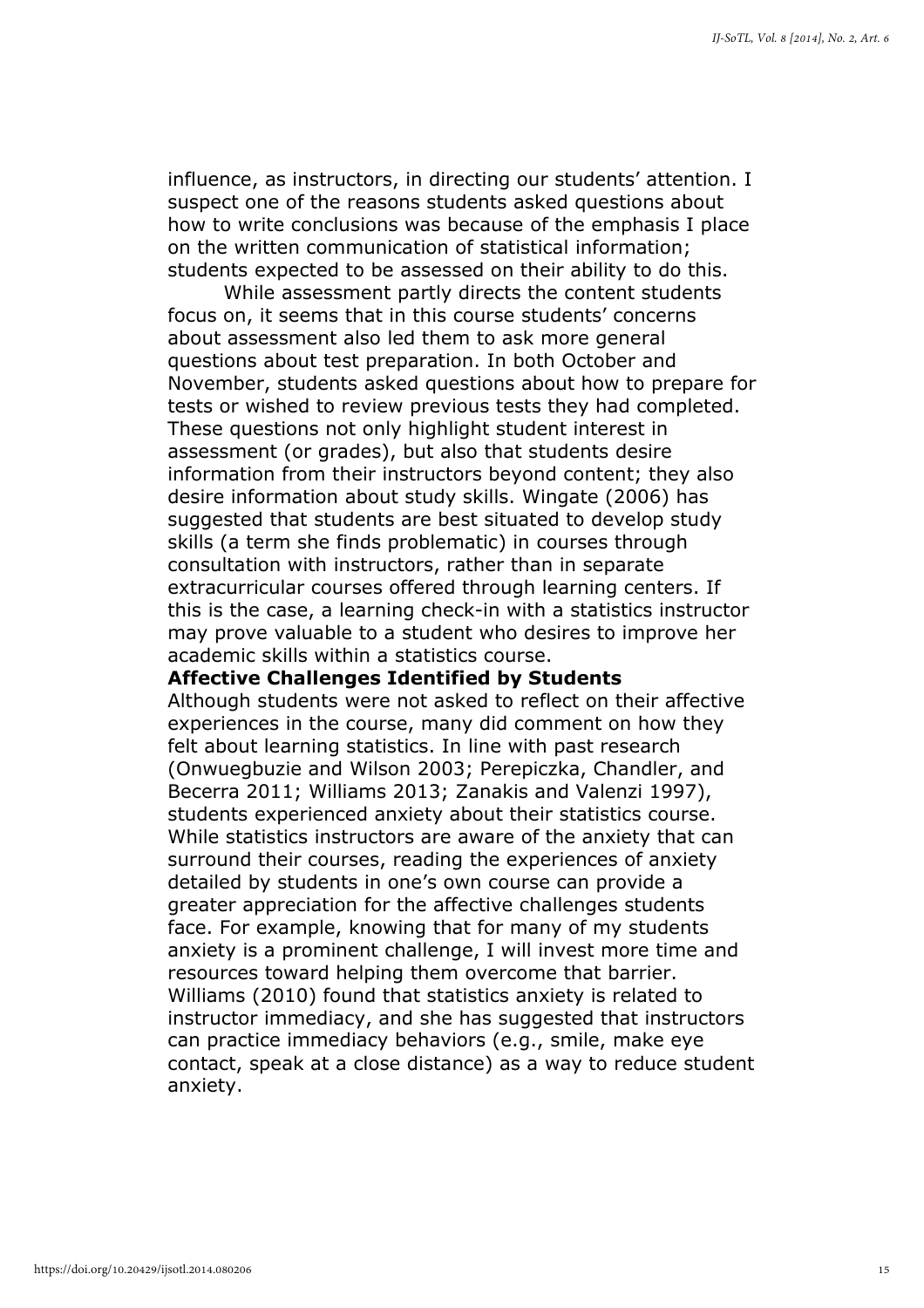influence, as instructors, in directing our students' attention. I suspect one of the reasons students asked questions about how to write conclusions was because of the emphasis I place on the written communication of statistical information; students expected to be assessed on their ability to do this.

While assessment partly directs the content students focus on, it seems that in this course students' concerns about assessment also led them to ask more general questions about test preparation. In both October and November, students asked questions about how to prepare for tests or wished to review previous tests they had completed. These questions not only highlight student interest in assessment (or grades), but also that students desire information from their instructors beyond content; they also desire information about study skills. Wingate (2006) has suggested that students are best situated to develop study skills (a term she finds problematic) in courses through consultation with instructors, rather than in separate extracurricular courses offered through learning centers. If this is the case, a learning check-in with a statistics instructor may prove valuable to a student who desires to improve her academic skills within a statistics course.

#### Affective Challenges Identified by Students

Although students were not asked to reflect on their affective experiences in the course, many did comment on how they felt about learning statistics. In line with past research (Onwuegbuzie and Wilson 2003; Perepiczka, Chandler, and Becerra 2011; Williams 2013; Zanakis and Valenzi 1997), students experienced anxiety about their statistics course. While statistics instructors are aware of the anxiety that can surround their courses, reading the experiences of anxiety detailed by students in one's own course can provide a greater appreciation for the affective challenges students face. For example, knowing that for many of my students anxiety is a prominent challenge, I will invest more time and resources toward helping them overcome that barrier. Williams (2010) found that statistics anxiety is related to instructor immediacy, and she has suggested that instructors can practice immediacy behaviors (e.g., smile, make eye contact, speak at a close distance) as a way to reduce student anxiety.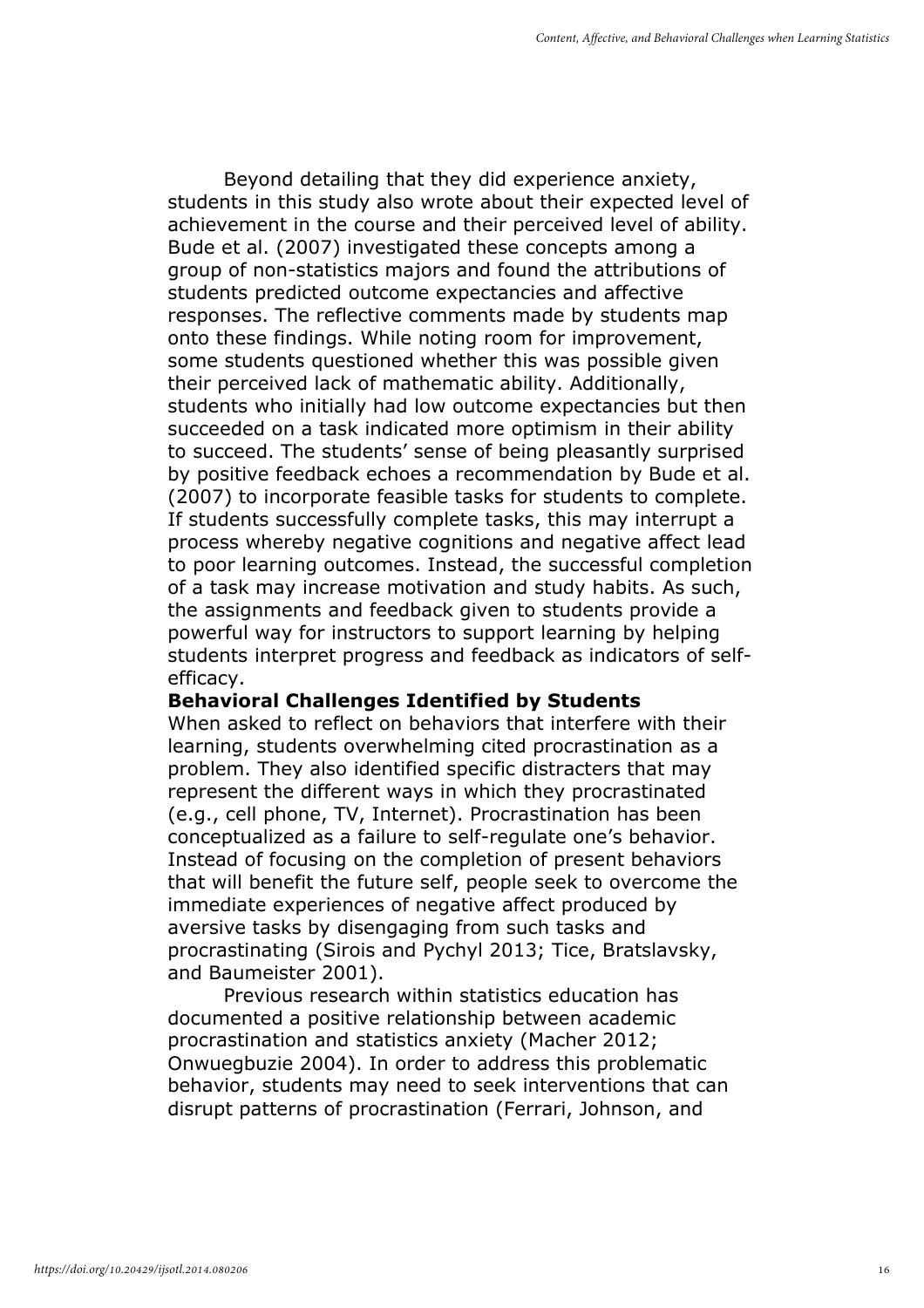Beyond detailing that they did experience anxiety, students in this study also wrote about their expected level of achievement in the course and their perceived level of ability. Bude et al. (2007) investigated these concepts among a group of non-statistics majors and found the attributions of students predicted outcome expectancies and affective responses. The reflective comments made by students map onto these findings. While noting room for improvement, some students questioned whether this was possible given their perceived lack of mathematic ability. Additionally, students who initially had low outcome expectancies but then succeeded on a task indicated more optimism in their ability to succeed. The students' sense of being pleasantly surprised by positive feedback echoes a recommendation by Bude et al. (2007) to incorporate feasible tasks for students to complete. If students successfully complete tasks, this may interrupt a process whereby negative cognitions and negative affect lead to poor learning outcomes. Instead, the successful completion of a task may increase motivation and study habits. As such, the assignments and feedback given to students provide a powerful way for instructors to support learning by helping students interpret progress and feedback as indicators of selfefficacy.

#### Behavioral Challenges Identified by Students

When asked to reflect on behaviors that interfere with their learning, students overwhelming cited procrastination as a problem. They also identified specific distracters that may represent the different ways in which they procrastinated (e.g., cell phone, TV, Internet). Procrastination has been conceptualized as a failure to self-regulate one's behavior. Instead of focusing on the completion of present behaviors that will benefit the future self, people seek to overcome the immediate experiences of negative affect produced by aversive tasks by disengaging from such tasks and procrastinating (Sirois and Pychyl 2013; Tice, Bratslavsky, and Baumeister 2001).

Previous research within statistics education has documented a positive relationship between academic procrastination and statistics anxiety (Macher 2012; Onwuegbuzie 2004). In order to address this problematic behavior, students may need to seek interventions that can disrupt patterns of procrastination (Ferrari, Johnson, and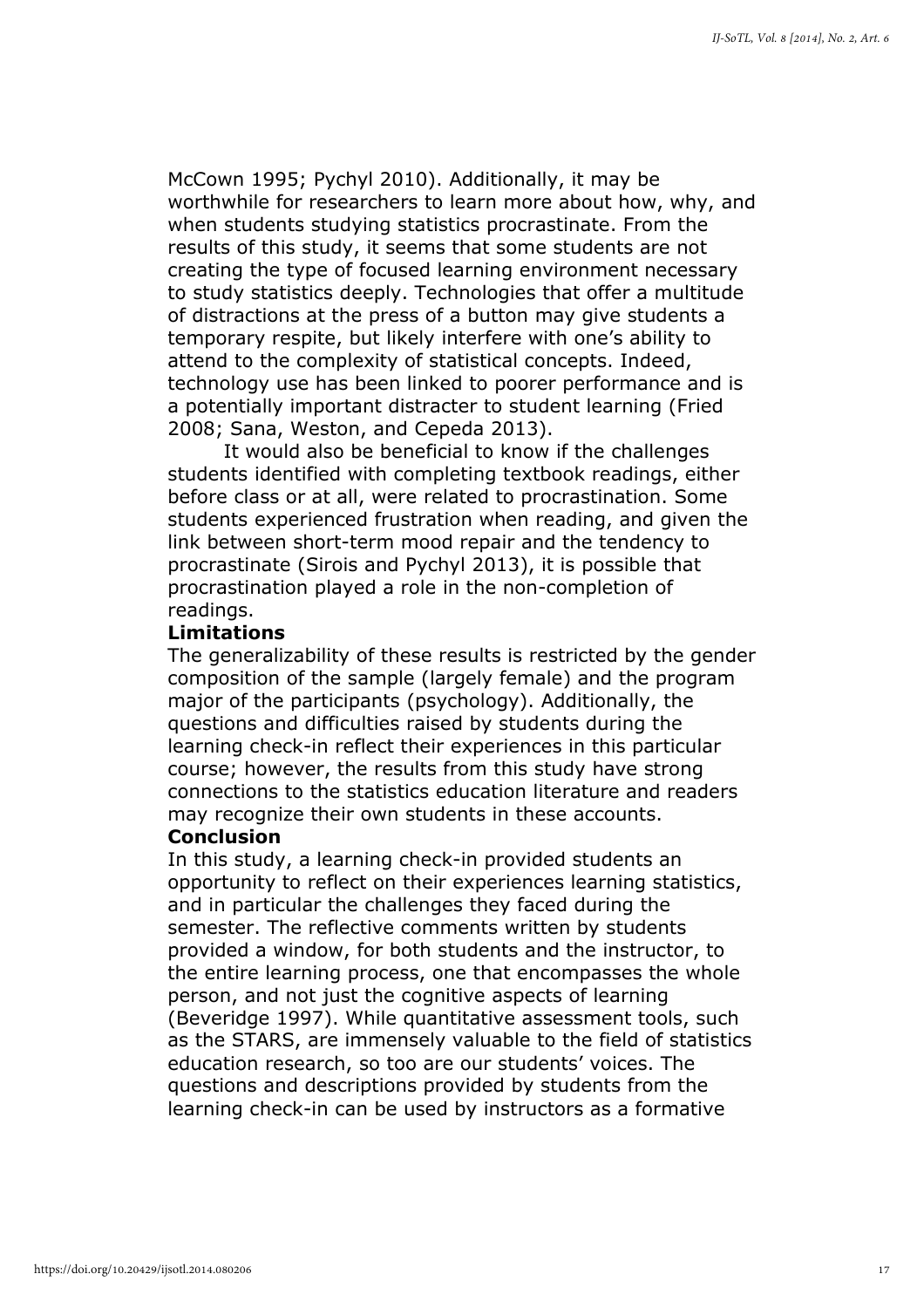McCown 1995; Pychyl 2010). Additionally, it may be worthwhile for researchers to learn more about how, why, and when students studying statistics procrastinate. From the results of this study, it seems that some students are not creating the type of focused learning environment necessary to study statistics deeply. Technologies that offer a multitude of distractions at the press of a button may give students a temporary respite, but likely interfere with one's ability to attend to the complexity of statistical concepts. Indeed, technology use has been linked to poorer performance and is a potentially important distracter to student learning (Fried 2008; Sana, Weston, and Cepeda 2013).

It would also be beneficial to know if the challenges students identified with completing textbook readings, either before class or at all, were related to procrastination. Some students experienced frustration when reading, and given the link between short-term mood repair and the tendency to procrastinate (Sirois and Pychyl 2013), it is possible that procrastination played a role in the non-completion of readings.

#### Limitations

The generalizability of these results is restricted by the gender composition of the sample (largely female) and the program major of the participants (psychology). Additionally, the questions and difficulties raised by students during the learning check-in reflect their experiences in this particular course; however, the results from this study have strong connections to the statistics education literature and readers may recognize their own students in these accounts.

#### Conclusion

In this study, a learning check-in provided students an opportunity to reflect on their experiences learning statistics, and in particular the challenges they faced during the semester. The reflective comments written by students provided a window, for both students and the instructor, to the entire learning process, one that encompasses the whole person, and not just the cognitive aspects of learning (Beveridge 1997). While quantitative assessment tools, such as the STARS, are immensely valuable to the field of statistics education research, so too are our students' voices. The questions and descriptions provided by students from the learning check-in can be used by instructors as a formative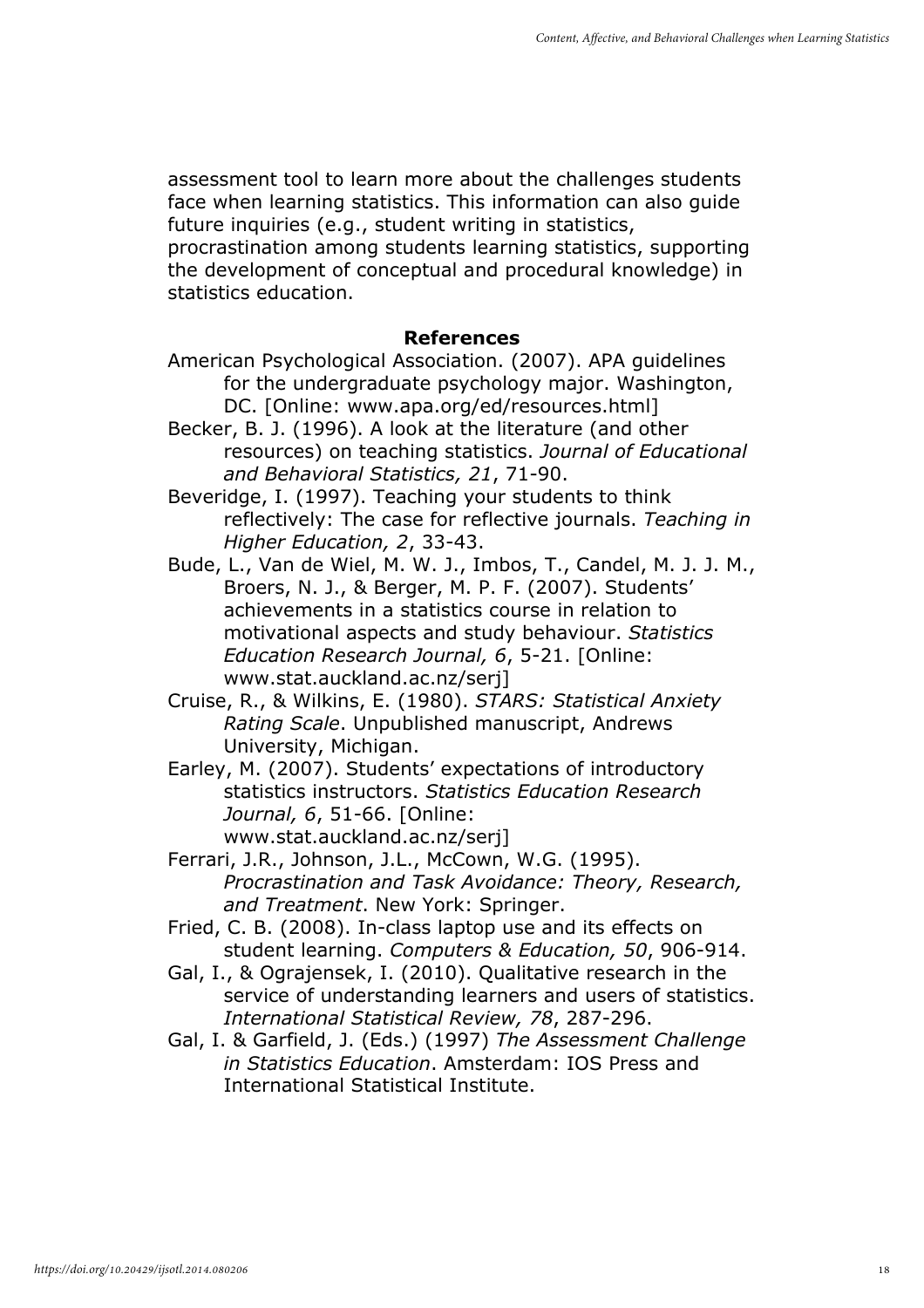assessment tool to learn more about the challenges students face when learning statistics. This information can also guide future inquiries (e.g., student writing in statistics,

procrastination among students learning statistics, supporting the development of conceptual and procedural knowledge) in statistics education.

#### References

- American Psychological Association. (2007). APA guidelines for the undergraduate psychology major. Washington, DC. [Online: www.apa.org/ed/resources.html]
- Becker, B. J. (1996). A look at the literature (and other resources) on teaching statistics. Journal of Educational and Behavioral Statistics, 21, 71-90.
- Beveridge, I. (1997). Teaching your students to think reflectively: The case for reflective journals. Teaching in Higher Education, 2, 33-43.
- Bude, L., Van de Wiel, M. W. J., Imbos, T., Candel, M. J. J. M., Broers, N. J., & Berger, M. P. F. (2007). Students' achievements in a statistics course in relation to motivational aspects and study behaviour. Statistics Education Research Journal, 6, 5-21. [Online: www.stat.auckland.ac.nz/serj]
- Cruise, R., & Wilkins, E. (1980). STARS: Statistical Anxiety Rating Scale. Unpublished manuscript, Andrews University, Michigan.
- Earley, M. (2007). Students' expectations of introductory statistics instructors. Statistics Education Research Journal, 6, 51-66. [Online: www.stat.auckland.ac.nz/serj]
- Ferrari, J.R., Johnson, J.L., McCown, W.G. (1995). Procrastination and Task Avoidance: Theory, Research, and Treatment. New York: Springer.
- Fried, C. B. (2008). In-class laptop use and its effects on student learning. Computers & Education, 50, 906-914.
- Gal, I., & Ograjensek, I. (2010). Qualitative research in the service of understanding learners and users of statistics. International Statistical Review, 78, 287-296.
- Gal, I. & Garfield, J. (Eds.) (1997) The Assessment Challenge in Statistics Education. Amsterdam: IOS Press and International Statistical Institute.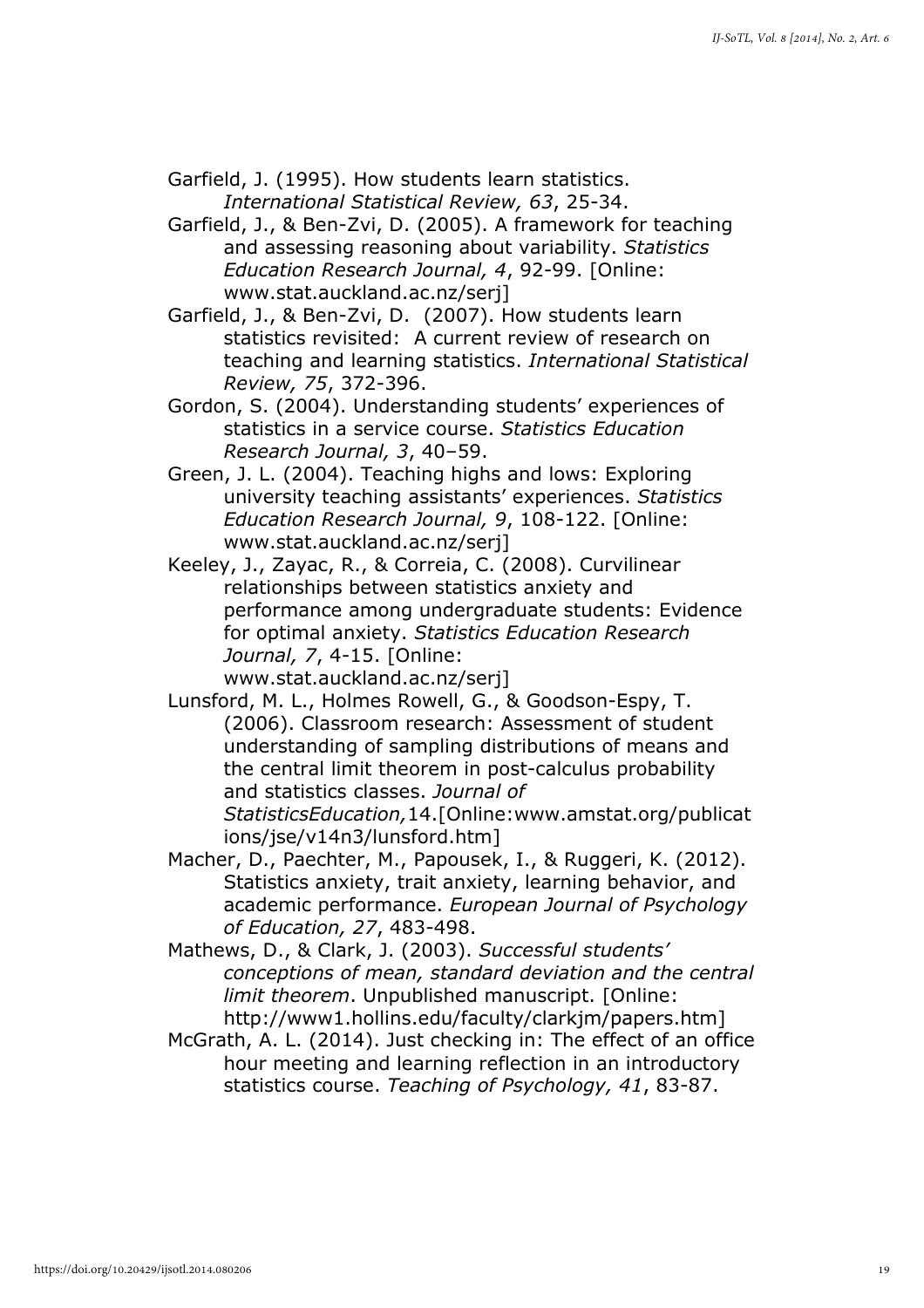- Garfield, J. (1995). How students learn statistics. International Statistical Review, 63, 25-34.
- Garfield, J., & Ben-Zvi, D. (2005). A framework for teaching and assessing reasoning about variability. Statistics Education Research Journal, 4, 92-99. [Online: www.stat.auckland.ac.nz/serj]
- Garfield, J., & Ben-Zvi, D. (2007). How students learn statistics revisited: A current review of research on teaching and learning statistics. International Statistical Review, 75, 372-396.
- Gordon, S. (2004). Understanding students' experiences of statistics in a service course. Statistics Education Research Journal, 3, 40–59.
- Green, J. L. (2004). Teaching highs and lows: Exploring university teaching assistants' experiences. Statistics Education Research Journal, 9, 108-122. [Online: www.stat.auckland.ac.nz/serj]
- Keeley, J., Zayac, R., & Correia, C. (2008). Curvilinear relationships between statistics anxiety and performance among undergraduate students: Evidence for optimal anxiety. Statistics Education Research Journal, 7, 4-15. [Online: www.stat.auckland.ac.nz/serj]
- Lunsford, M. L., Holmes Rowell, G., & Goodson-Espy, T. (2006). Classroom research: Assessment of student understanding of sampling distributions of means and the central limit theorem in post-calculus probability and statistics classes. Journal of StatisticsEducation,14.[Online:www.amstat.org/publicat ions/jse/v14n3/lunsford.htm]
- Macher, D., Paechter, M., Papousek, I., & Ruggeri, K. (2012). Statistics anxiety, trait anxiety, learning behavior, and academic performance. European Journal of Psychology of Education, 27, 483-498.
- Mathews, D., & Clark, J. (2003). Successful students' conceptions of mean, standard deviation and the central limit theorem. Unpublished manuscript. [Online: http://www1.hollins.edu/faculty/clarkjm/papers.htm]
- McGrath, A. L. (2014). Just checking in: The effect of an office hour meeting and learning reflection in an introductory statistics course. Teaching of Psychology, 41, 83-87.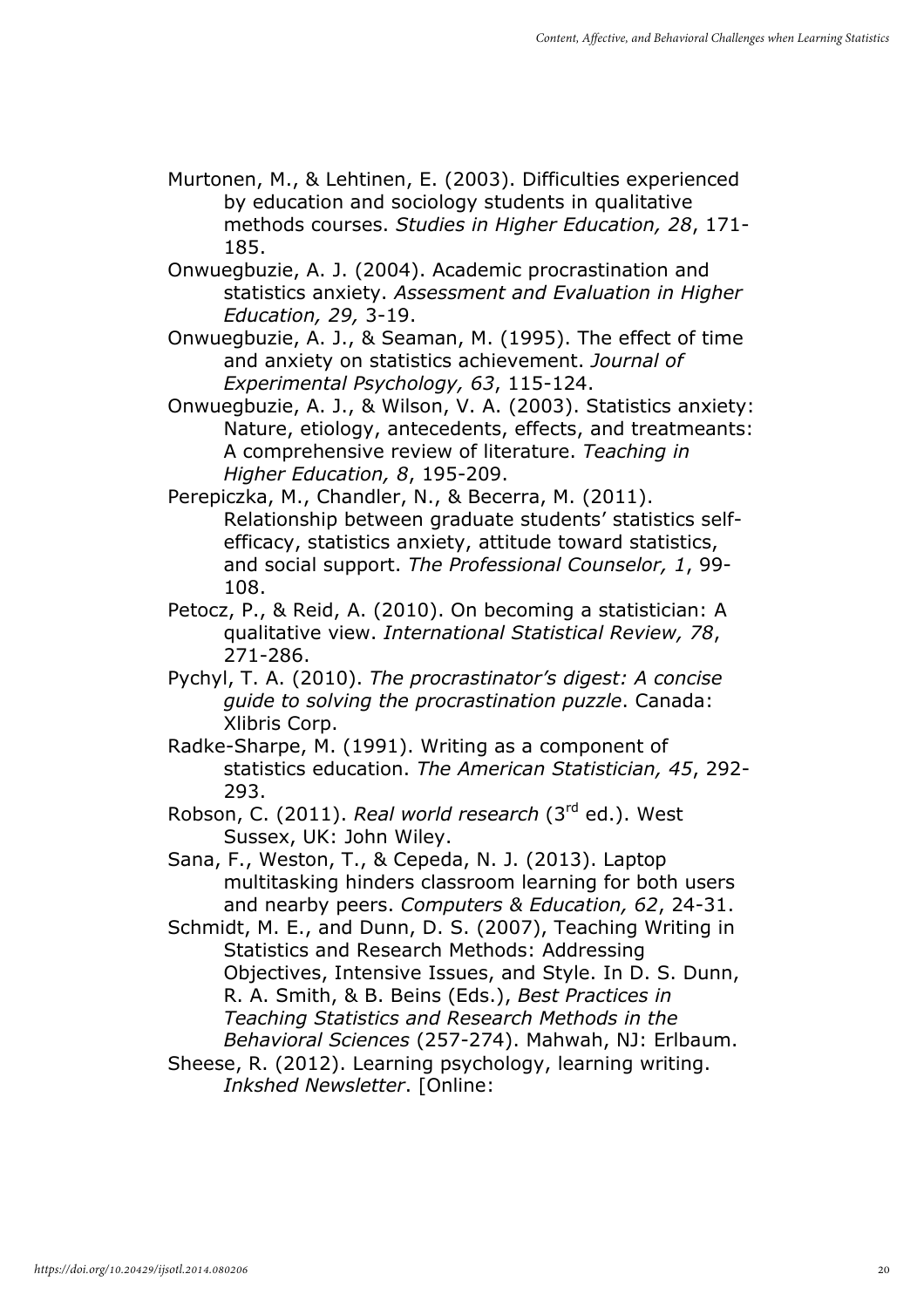- Murtonen, M., & Lehtinen, E. (2003). Difficulties experienced by education and sociology students in qualitative methods courses. Studies in Higher Education, 28, 171- 185.
- Onwuegbuzie, A. J. (2004). Academic procrastination and statistics anxiety. Assessment and Evaluation in Higher Education, 29, 3-19.
- Onwuegbuzie, A. J., & Seaman, M. (1995). The effect of time and anxiety on statistics achievement. Journal of Experimental Psychology, 63, 115-124.
- Onwuegbuzie, A. J., & Wilson, V. A. (2003). Statistics anxiety: Nature, etiology, antecedents, effects, and treatmeants: A comprehensive review of literature. Teaching in Higher Education, 8, 195-209.
- Perepiczka, M., Chandler, N., & Becerra, M. (2011). Relationship between graduate students' statistics selfefficacy, statistics anxiety, attitude toward statistics, and social support. The Professional Counselor, 1, 99- 108.
- Petocz, P., & Reid, A. (2010). On becoming a statistician: A qualitative view. International Statistical Review, 78, 271-286.
- Pychyl, T. A. (2010). The procrastinator's digest: A concise guide to solving the procrastination puzzle. Canada: Xlibris Corp.
- Radke-Sharpe, M. (1991). Writing as a component of statistics education. The American Statistician, 45, 292- 293.
- Robson, C. (2011). Real world research (3rd ed.). West Sussex, UK: John Wiley.
- Sana, F., Weston, T., & Cepeda, N. J. (2013). Laptop multitasking hinders classroom learning for both users and nearby peers. Computers & Education, 62, 24-31.
- Schmidt, M. E., and Dunn, D. S. (2007), Teaching Writing in Statistics and Research Methods: Addressing Objectives, Intensive Issues, and Style. In D. S. Dunn, R. A. Smith, & B. Beins (Eds.), Best Practices in Teaching Statistics and Research Methods in the Behavioral Sciences (257-274). Mahwah, NJ: Erlbaum.
- Sheese, R. (2012). Learning psychology, learning writing. Inkshed Newsletter. [Online: